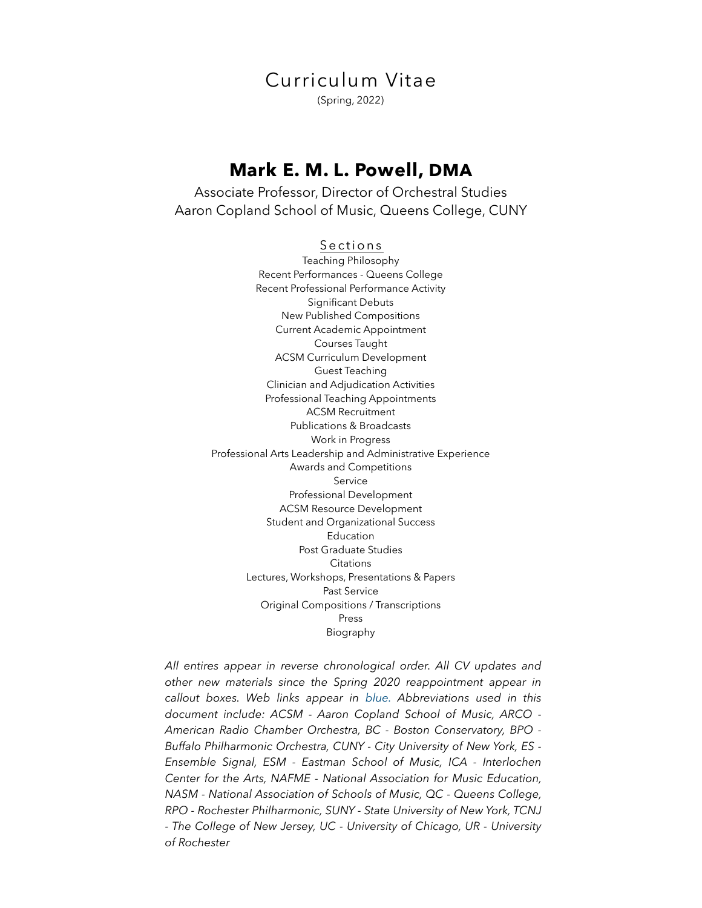Curriculum Vitae (Spring, 2022)

# **Mark E. M. L. Powell, DMA**

Associate Professor, Director of Orchestral Studies Aaron Copland School of Music, Queens College, CUNY

> Sections Teaching Philosophy Recent Performances - Queens College Recent Professional Performance Activity Significant Debuts New Published Compositions Current Academic Appointment Courses Taught ACSM Curriculum Development Guest Teaching Clinician and Adjudication Activities Professional Teaching Appointments ACSM Recruitment Publications & Broadcasts Work in Progress Professional Arts Leadership and Administrative Experience Awards and Competitions Service Professional Development ACSM Resource Development Student and Organizational Success Education Post Graduate Studies **Citations** Lectures, Workshops, Presentations & Papers Past Service Original Compositions / Transcriptions Press Biography

*All entires appear in reverse chronological order. All CV updates and other new materials since the Spring 2020 reappointment appear in callout boxes. Web links appear in blue. Abbreviations used in this document include: ACSM - Aaron Copland School of Music, ARCO - American Radio Chamber Orchestra, BC - Boston Conservatory, BPO - Buffalo Philharmonic Orchestra, CUNY - City University of New York, ES - Ensemble Signal, ESM - Eastman School of Music, ICA - Interlochen Center for the Arts, NAFME - National Association for Music Education, NASM - National Association of Schools of Music, QC - Queens College, RPO - Rochester Philharmonic, SUNY - State University of New York, TCNJ - The College of New Jersey, UC - University of Chicago, UR - University of Rochester*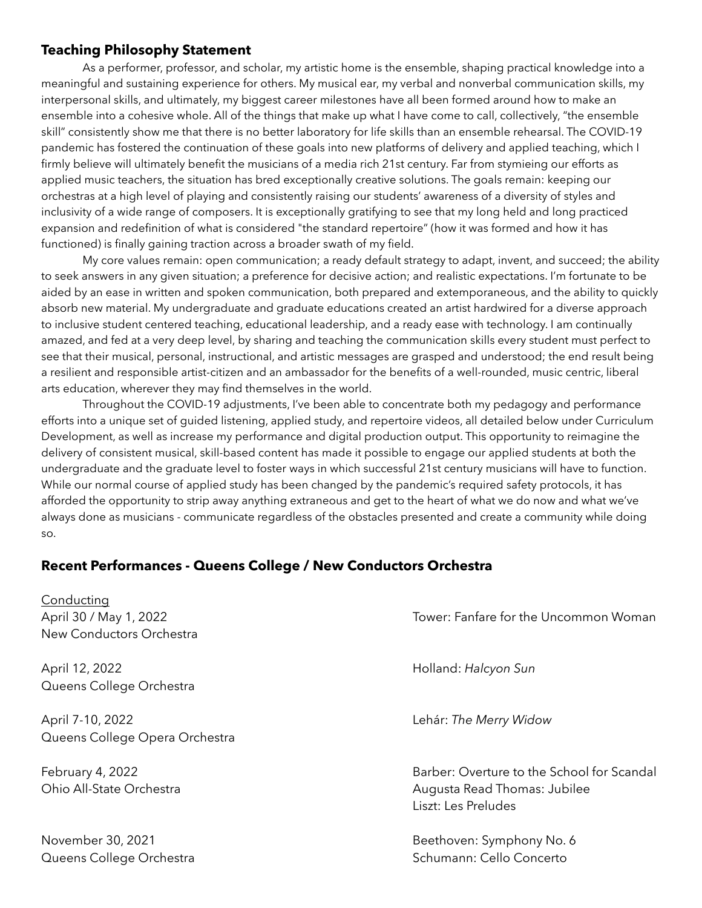# **Teaching Philosophy Statement**

 As a performer, professor, and scholar, my artistic home is the ensemble, shaping practical knowledge into a meaningful and sustaining experience for others. My musical ear, my verbal and nonverbal communication skills, my interpersonal skills, and ultimately, my biggest career milestones have all been formed around how to make an ensemble into a cohesive whole. All of the things that make up what I have come to call, collectively, "the ensemble skill" consistently show me that there is no better laboratory for life skills than an ensemble rehearsal. The COVID-19 pandemic has fostered the continuation of these goals into new platforms of delivery and applied teaching, which I firmly believe will ultimately benefit the musicians of a media rich 21st century. Far from stymieing our efforts as applied music teachers, the situation has bred exceptionally creative solutions. The goals remain: keeping our orchestras at a high level of playing and consistently raising our students' awareness of a diversity of styles and inclusivity of a wide range of composers. It is exceptionally gratifying to see that my long held and long practiced expansion and redefinition of what is considered "the standard repertoire" (how it was formed and how it has functioned) is finally gaining traction across a broader swath of my field.

 My core values remain: open communication; a ready default strategy to adapt, invent, and succeed; the ability to seek answers in any given situation; a preference for decisive action; and realistic expectations. I'm fortunate to be aided by an ease in written and spoken communication, both prepared and extemporaneous, and the ability to quickly absorb new material. My undergraduate and graduate educations created an artist hardwired for a diverse approach to inclusive student centered teaching, educational leadership, and a ready ease with technology. I am continually amazed, and fed at a very deep level, by sharing and teaching the communication skills every student must perfect to see that their musical, personal, instructional, and artistic messages are grasped and understood; the end result being a resilient and responsible artist-citizen and an ambassador for the benefits of a well-rounded, music centric, liberal arts education, wherever they may find themselves in the world.

 Throughout the COVID-19 adjustments, I've been able to concentrate both my pedagogy and performance efforts into a unique set of guided listening, applied study, and repertoire videos, all detailed below under Curriculum Development, as well as increase my performance and digital production output. This opportunity to reimagine the delivery of consistent musical, skill-based content has made it possible to engage our applied students at both the undergraduate and the graduate level to foster ways in which successful 21st century musicians will have to function. While our normal course of applied study has been changed by the pandemic's required safety protocols, it has afforded the opportunity to strip away anything extraneous and get to the heart of what we do now and what we've always done as musicians - communicate regardless of the obstacles presented and create a community while doing so.

# **Recent Performances - Queens College / New Conductors Orchestra**

| Conducting<br>April 30 / May 1, 2022<br>New Conductors Orchestra | Tower: Fanfare for the Uncommon Woman                                                             |
|------------------------------------------------------------------|---------------------------------------------------------------------------------------------------|
| April 12, 2022<br>Queens College Orchestra                       | Holland: Halcyon Sun                                                                              |
| April 7-10, 2022<br>Queens College Opera Orchestra               | Lehár: The Merry Widow                                                                            |
| February 4, 2022<br>Ohio All-State Orchestra                     | Barber: Overture to the School for Scandal<br>Augusta Read Thomas: Jubilee<br>Liszt: Les Preludes |
| November 30, 2021<br>Queens College Orchestra                    | Beethoven: Symphony No. 6<br>Schumann: Cello Concerto                                             |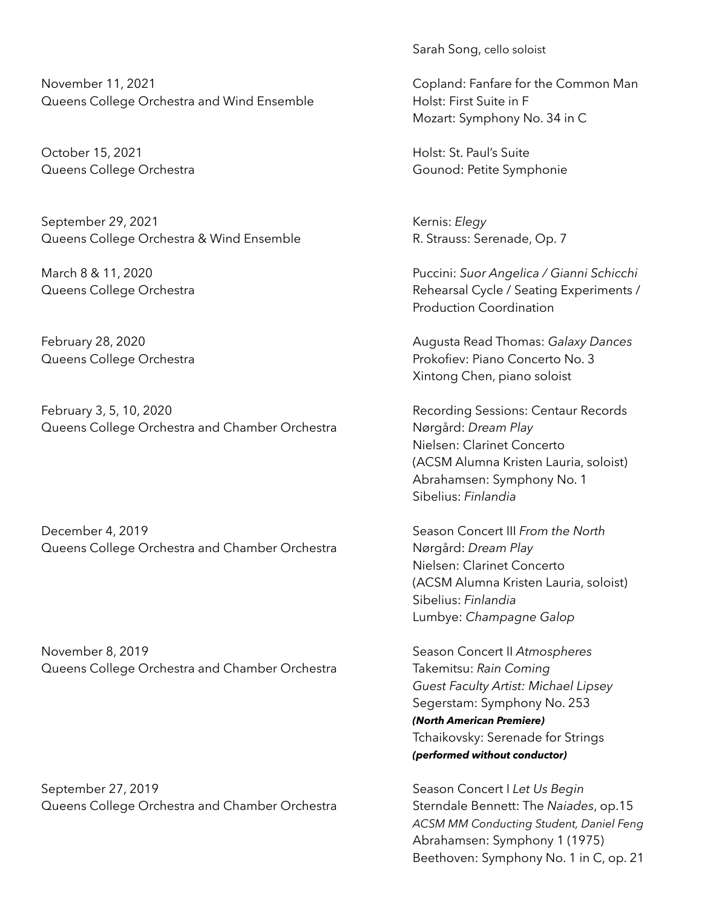November 11, 2021 Copland: Fanfare for the Common Man Queens College Orchestra and Wind Ensemble Holst: First Suite in F

October 15, 2021 **Marshall** Holst: St. Paul's Suite

September 29, 2021 Kernis: *Elegy* Queens College Orchestra & Wind Ensemble **R. Strauss: Serenade, Op. 7** 

February 3, 5, 10, 2020 **Recording Sessions: Centaur Records** Queens College Orchestra and Chamber Orchestra Nørgård: *Dream Play*

December 4, 2019 Season Concert III *From the North* Queens College Orchestra and Chamber Orchestra Nørgård: *Dream Play*

November 8, 2019 **November 8, 2019** Season Concert II *Atmospheres* Queens College Orchestra and Chamber Orchestra Takemitsu: *Rain Coming* 

September 27, 2019 Season Concert I *Let Us Begin* Queens College Orchestra and Chamber Orchestra Sterndale Bennett: The Naiades, op.15

Sarah Song, cello soloist

Mozart: Symphony No. 34 in C

Queens College Orchestra **Gounod: Petite Symphonie** 

March 8 & 11, 2020 Puccini: *Suor Angelica / Gianni Schicchi* Queens College Orchestra **Rehearsal Cycle / Seating Experiments /** Production Coordination

February 28, 2020 Augusta Read Thomas: *Galaxy Dances* Queens College Orchestra **Provident Concerto No. 3** Prokofiev: Piano Concerto No. 3 Xintong Chen, piano soloist

> Nielsen: Clarinet Concerto (ACSM Alumna Kristen Lauria, soloist) Abrahamsen: Symphony No. 1 Sibelius: *Finlandia*

> Nielsen: Clarinet Concerto (ACSM Alumna Kristen Lauria, soloist) Sibelius: *Finlandia* Lumbye: *Champagne Galop*

 *Guest Faculty Artist: Michael Lipsey* Segerstam: Symphony No. 253 *(North American Premiere)* Tchaikovsky: Serenade for Strings *(performed without conductor)*

 *ACSM MM Conducting Student, Daniel Feng* Abrahamsen: Symphony 1 (1975) Beethoven: Symphony No. 1 in C, op. 21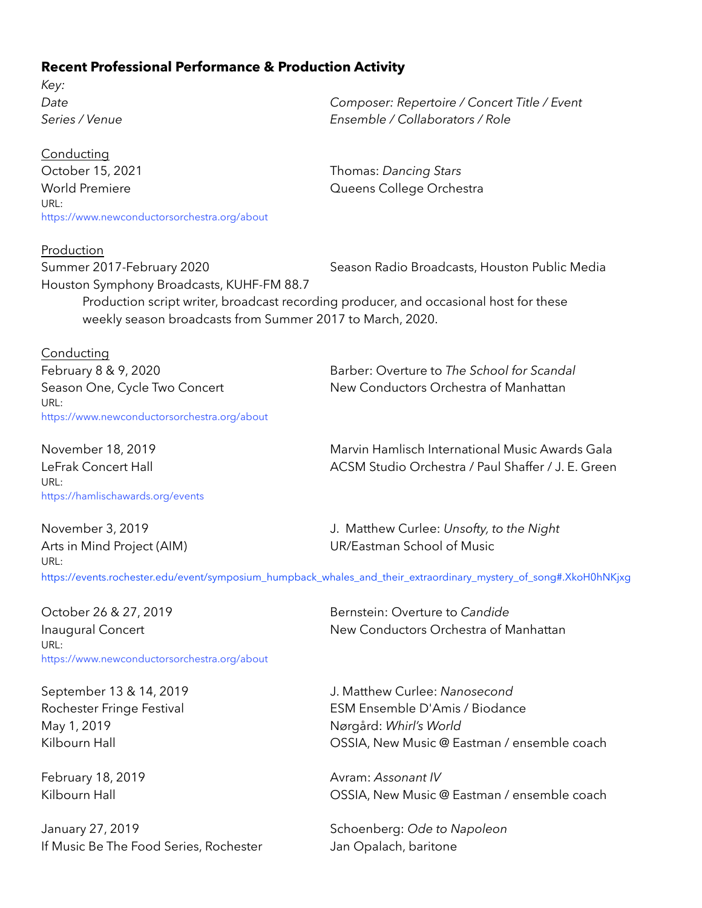# **Recent Professional Performance & Production Activity**

*Key:* 

Conducting October 15, 2021 **Thomas: Dancing Stars** World Premiere **Manual Exception College Orchestra** URL: <https://www.newconductorsorchestra.org/about>

Production Houston Symphony Broadcasts, KUHF-FM 88.7

*Date Composer: Repertoire / Concert Title / Event Series / Venue Ensemble / Collaborators / Role* 

Summer 2017-February 2020 Season Radio Broadcasts, Houston Public Media

Production script writer, broadcast recording producer, and occasional host for these weekly season broadcasts from Summer 2017 to March, 2020.

Conducting URL: <https://www.newconductorsorchestra.org/about>

February 8 & 9, 2020 Barber: Overture to *The School for Scandal*  Season One, Cycle Two Concert New Conductors Orchestra of Manhattan

URL: <https://hamlischawards.org/events>

November 18, 2019 Marvin Hamlisch International Music Awards Gala LeFrak Concert Hall ACSM Studio Orchestra / Paul Shaffer / J. E. Green

URL:

November 3, 2019 J. Matthew Curlee: *Unsofty, to the Night* Arts in Mind Project (AIM) UR/Eastman School of Music

[https://events.rochester.edu/event/symposium\\_humpback\\_whales\\_and\\_their\\_extraordinary\\_mystery\\_of\\_song#.XkoH0hNKjxg](https://events.rochester.edu/event/symposium_humpback_whales_and_their_extraordinary_mystery_of_song#.XkoH0hNKjxg)

October 26 & 27, 2019 Bernstein: Overture to *Candide* URL: <https://www.newconductorsorchestra.org/about>

May 1, 2019 Nørgård: *Whirl's World*

January 27, 2019 Schoenberg: *Ode to Napoleon* If Music Be The Food Series, Rochester Jan Opalach, baritone

Inaugural Concert New Conductors Orchestra of Manhattan

September 13 & 14, 2019 J. Matthew Curlee: *Nanosecond* Rochester Fringe Festival **ESM Ensemble D'Amis / Biodance** Kilbourn Hall **East Communist COSSIA, New Music @ Eastman / ensemble coach** 

February 18, 2019 **Avram:** *Assonant IV* Kilbourn Hall **East Communist COSSIA**, New Music @ Eastman / ensemble coach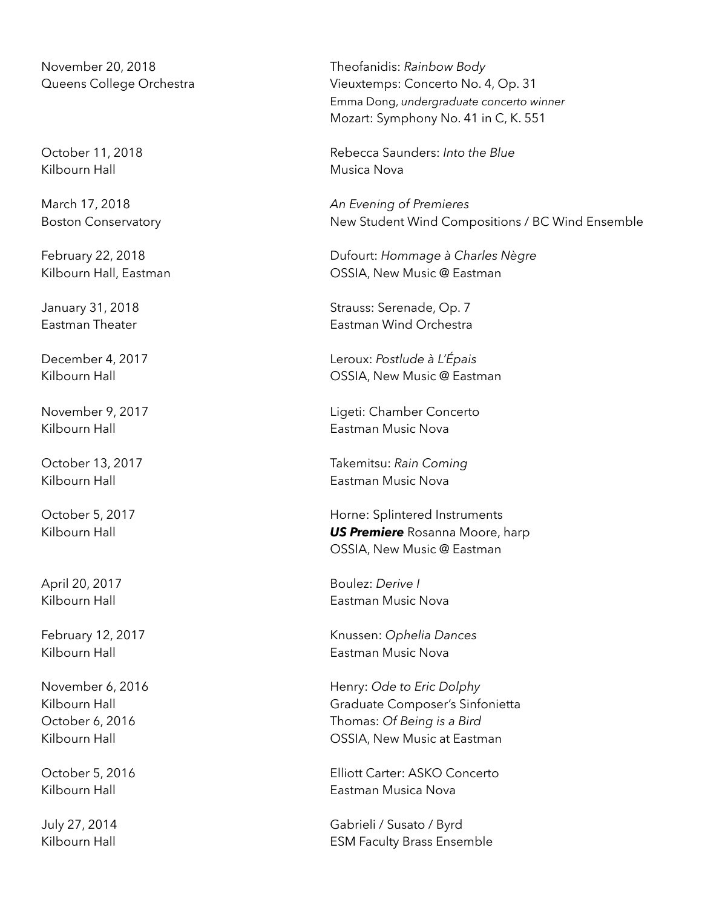Kilbourn Hall **Musica Nova** 

November 20, 2018 Theofanidis: *Rainbow Body* Queens College Orchestra Vieuxtemps: Concerto No. 4, Op. 31 Emma Dong, *undergraduate concerto winner* Mozart: Symphony No. 41 in C, K. 551

October 11, 2018 Rebecca Saunders: *Into the Blue*

March 17, 2018 *An Evening of Premieres* Boston Conservatory **New Student Wind Compositions / BC Wind Ensemble** 

February 22, 2018 Dufourt: *Hommage à Charles Nègre* Kilbourn Hall, Eastman **Matter Costage Contract Contract Costage Costage Costage Cost** 

January 31, 2018 **Strauss: Serenade, Op. 7** Strauss: Serenade, Op. 7 Eastman Theater Eastman Wind Orchestra

December 4, 2017 Leroux: *Postlude à L'Épais* Kilbourn Hall **Communist Communist Communist Communist Communist Communist Communist Communist Communist Communist Communist Communist Communist Communist Communist Communist Communist Communist Communist Communist Communi** 

November 9, 2017 Ligeti: Chamber Concerto Kilbourn Hall **Eastman Music Nova** 

October 13, 2017 Takemitsu: *Rain Coming* Kilbourn Hall **Eastman Music Nova** 

October 5, 2017 **Horne: Splintered Instruments** Kilbourn Hall *US Premiere* Rosanna Moore, harp OSSIA, New Music @ Eastman

April 20, 2017 Boulez: *Derive I*  Kilbourn Hall **Eastman Music Nova** 

February 12, 2017 Knussen: *Ophelia Dances* Kilbourn Hall Eastman Music Nova

November 6, 2016 **Henry:** Ode to Eric Dolphy Kilbourn Hall **Graduate Composer's Sinfonietta** October 6, 2016 Thomas: *Of Being is a Bird* Kilbourn Hall **Eastman COSSIA, New Music at Eastman** 

October 5, 2016 Elliott Carter: ASKO Concerto Kilbourn Hall **East Communist Communist Communist Communist Communist Communist Communist Communist Communist Communist Communist Communist Communist Communist Communist Communist Communist Communist Communist Communist Co** 

July 27, 2014 Gabrieli / Susato / Byrd Kilbourn Hall **ESM Faculty Brass Ensemble**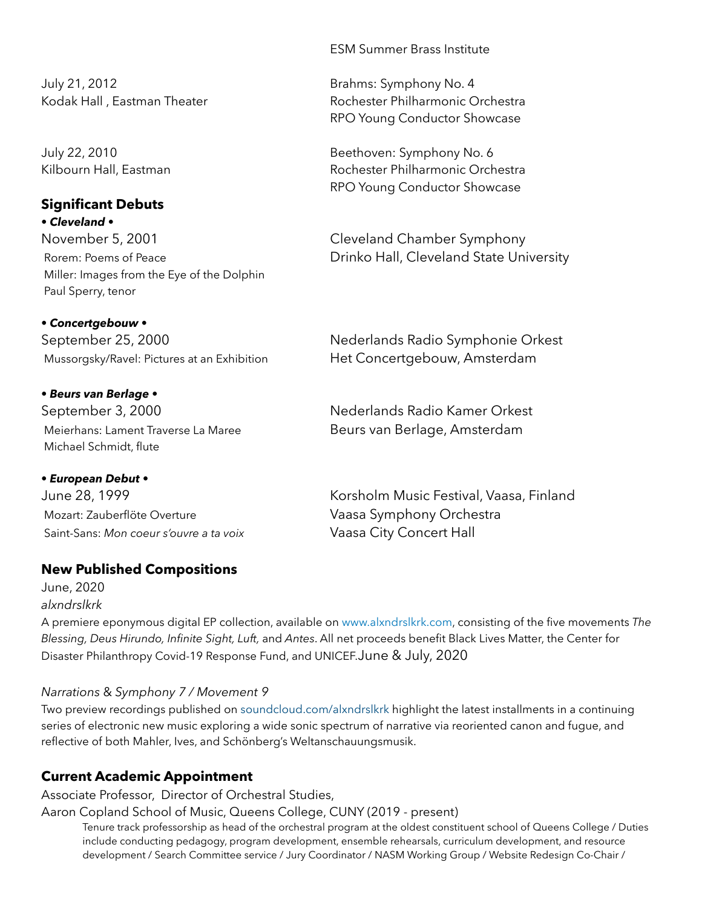July 21, 2012 Brahms: Symphony No. 4

# **Significant Debuts**

*• Cleveland •*  November 5, 2001 Cleveland Chamber Symphony Miller: Images from the Eye of the Dolphin Paul Sperry, tenor

*• Concertgebouw •* 

*• Beurs van Berlage •*  Meierhans: Lament Traverse La Maree Beurs van Berlage, Amsterdam Michael Schmidt, flute

*• European Debut •*  Mozart: Zauberflöte Overture Vaasa Symphony Orchestra Saint-Sans: Mon coeur s'ouvre a ta voix Vaasa City Concert Hall

# **New Published Compositions**

June, 2020 *alxndrslkrk*

A premiere eponymous digital EP collection, available on [www.alxndrslkrk.com,](http://www.alxndrslkrk.com) consisting of the five movements *The Blessing, Deus Hirundo, Infinite Sight, Luft,* and *Antes*. All net proceeds benefit Black Lives Matter, the Center for Disaster Philanthropy Covid-19 Response Fund, and UNICEF.June & July, 2020

# *Narrations* & *Symphony 7 / Movement 9*

Two preview recordings published on [soundcloud.com/alxndrslkrk](https://soundcloud.com/alxndrslkrk) highlight the latest installments in a continuing series of electronic new music exploring a wide sonic spectrum of narrative via reoriented canon and fugue, and reflective of both Mahler, Ives, and Schönberg's Weltanschauungsmusik.

# **Current Academic Appointment**

Associate Professor, Director of Orchestral Studies,

Aaron Copland School of Music, Queens College, CUNY (2019 - present)

 Tenure track professorship as head of the orchestral program at the oldest constituent school of Queens College / Duties include conducting pedagogy, program development, ensemble rehearsals, curriculum development, and resource development / Search Committee service / Jury Coordinator / NASM Working Group / Website Redesign Co-Chair /

ESM Summer Brass Institute

Kodak Hall , Eastman Theater **Rochester Philharmonic Orchestra** RPO Young Conductor Showcase

July 22, 2010 Beethoven: Symphony No. 6 Kilbourn Hall, Eastman Rochester Philharmonic Orchestra RPO Young Conductor Showcase

Rorem: Poems of Peace **Drinko Hall, Cleveland State University** 

September 25, 2000 Mederlands Radio Symphonie Orkest Mussorgsky/Ravel: Pictures at an Exhibition Het Concertgebouw, Amsterdam

September 3, 2000 and the September 3, 2000

June 28, 1999 Korsholm Music Festival, Vaasa, Finland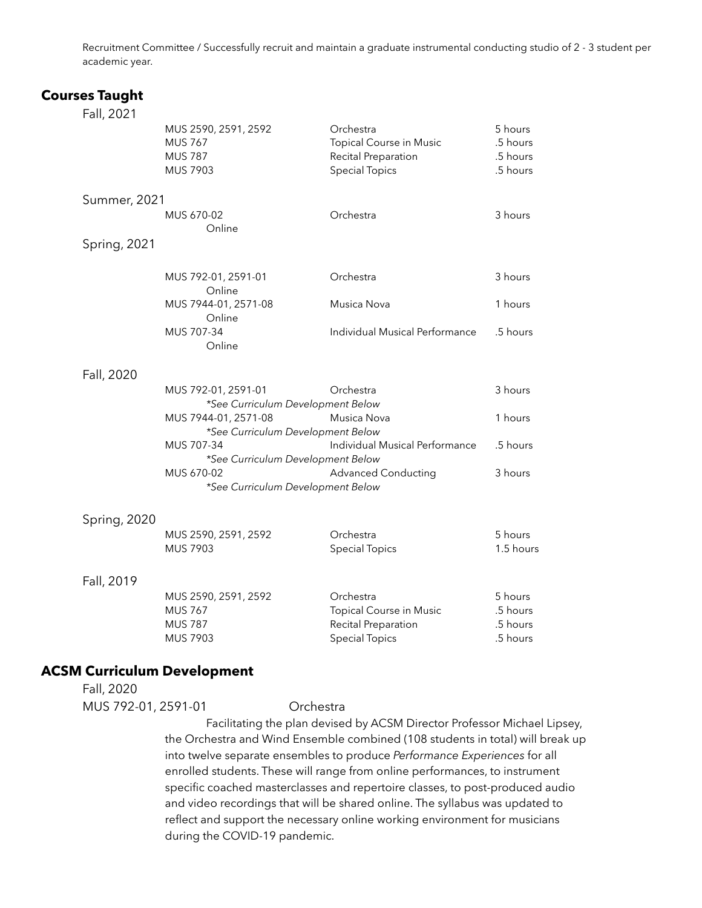Recruitment Committee / Successfully recruit and maintain a graduate instrumental conducting studio of 2 - 3 student per academic year.

### **Courses Taught**

| Fall, 2021          |                                                          |                                |           |
|---------------------|----------------------------------------------------------|--------------------------------|-----------|
|                     | MUS 2590, 2591, 2592                                     | Orchestra                      | 5 hours   |
|                     | <b>MUS 767</b>                                           | Topical Course in Music        | .5 hours  |
|                     | <b>MUS 787</b>                                           | Recital Preparation            | .5 hours  |
|                     | MUS 7903                                                 | <b>Special Topics</b>          | .5 hours  |
| <b>Summer, 2021</b> |                                                          |                                |           |
|                     | MUS 670-02                                               | Orchestra                      | 3 hours   |
|                     | Online                                                   |                                |           |
| Spring, 2021        |                                                          |                                |           |
|                     | MUS 792-01, 2591-01                                      | Orchestra                      | 3 hours   |
|                     | Online                                                   |                                |           |
|                     | MUS 7944-01, 2571-08                                     | Musica Nova                    | 1 hours   |
|                     | Online                                                   |                                |           |
|                     | MUS 707-34<br>Online                                     | Individual Musical Performance | .5 hours  |
|                     |                                                          |                                |           |
| Fall, 2020          |                                                          | Orchestra                      | 3 hours   |
|                     | MUS 792-01, 2591-01<br>*See Curriculum Development Below |                                |           |
|                     | MUS 7944-01, 2571-08                                     | Musica Nova                    | 1 hours   |
|                     | *See Curriculum Development Below                        |                                |           |
|                     | MUS 707-34                                               | Individual Musical Performance | .5 hours  |
|                     | *See Curriculum Development Below                        |                                |           |
|                     | MUS 670-02                                               | <b>Advanced Conducting</b>     | 3 hours   |
|                     | *See Curriculum Development Below                        |                                |           |
| Spring, 2020        |                                                          |                                |           |
|                     | MUS 2590, 2591, 2592                                     | Orchestra                      | 5 hours   |
|                     | MUS 7903                                                 | <b>Special Topics</b>          | 1.5 hours |
|                     |                                                          |                                |           |
| Fall, 2019          |                                                          |                                |           |

#### MUS 2590, 2591, 2592 Orchestra 5 hours MUS 767 Topical Course in Music .5 hours MUS 787 Recital Preparation 5 hours MUS 7903 Special Topics .5 hours

### **ACSM Curriculum Development**

Fall, 2020

#### MUS 792-01, 2591-01 Orchestra

 Facilitating the plan devised by ACSM Director Professor Michael Lipsey, the Orchestra and Wind Ensemble combined (108 students in total) will break up into twelve separate ensembles to produce *Performance Experiences* for all enrolled students. These will range from online performances, to instrument specific coached masterclasses and repertoire classes, to post-produced audio and video recordings that will be shared online. The syllabus was updated to reflect and support the necessary online working environment for musicians during the COVID-19 pandemic.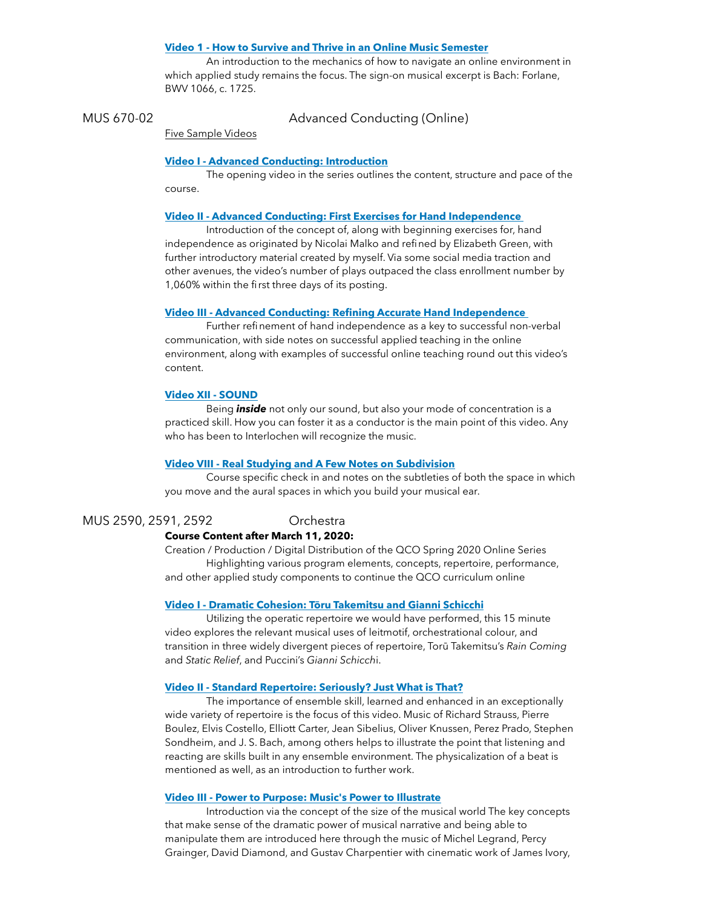#### **[Video 1 - How to Survive and Thrive in an Online Music Semester](https://vimeo.com/451238072)**

 An introduction to the mechanics of how to navigate an online environment in which applied study remains the focus. The sign-on musical excerpt is Bach: Forlane, BWV 1066, c. 1725.

MUS 670-02 Advanced Conducting (Online)

Five Sample Videos

#### **[Video I - Advanced Conducting: Introduction](https://vimeo.com/450611755)**

 The opening video in the series outlines the content, structure and pace of the course.

#### **[Video II - Advanced Conducting: First Exercises for Hand Independence](https://vimeo.com/453167197)**

 Introduction of the concept of, along with beginning exercises for, hand independence as originated by Nicolai Malko and refined by Elizabeth Green, with further introductory material created by myself. Via some social media traction and other avenues, the video's number of plays outpaced the class enrollment number by 1,060% within the first three days of its posting.

#### **[Video III - Advanced Conducting: Refining Accurate Hand Independence](https://vimeo.com/455327570)**

 Further refinement of hand independence as a key to successful non-verbal communication, with side notes on successful applied teaching in the online environment, along with examples of successful online teaching round out this video's content.

#### **[Video XII - SOUND](https://vimeo.com/483774664)**

 Being *inside* not only our sound, but also your mode of concentration is a practiced skill. How you can foster it as a conductor is the main point of this video. Any who has been to Interlochen will recognize the music.

#### **[Video VIII - Real Studying and A Few Notes on Subdivision](https://vimeo.com/470445783)**

 Course specific check in and notes on the subtleties of both the space in which you move and the aural spaces in which you build your musical ear.

MUS 2590, 2591, 2592 Orchestra

#### **Course Content after March 11, 2020:**

Creation / Production / Digital Distribution of the QCO Spring 2020 Online Series Highlighting various program elements, concepts, repertoire, performance, and other applied study components to continue the QCO curriculum online

#### **Video I - Dramatic Cohesion: Tō[ru Takemitsu and Gianni Schicchi](https://vimeo.com/399934988)**

 Utilizing the operatic repertoire we would have performed, this 15 minute video explores the relevant musical uses of leitmotif, orchestrational colour, and transition in three widely divergent pieces of repertoire, Torū Takemitsu's *Rain Coming*  and *Static Relief*, and Puccini's *Gianni Schicch*i.

#### **[Video II - Standard Repertoire: Seriously? Just What is That?](https://vimeo.com/400222285)**

 The importance of ensemble skill, learned and enhanced in an exceptionally wide variety of repertoire is the focus of this video. Music of Richard Strauss, Pierre Boulez, Elvis Costello, Elliott Carter, Jean Sibelius, Oliver Knussen, Perez Prado, Stephen Sondheim, and J. S. Bach, among others helps to illustrate the point that listening and reacting are skills built in any ensemble environment. The physicalization of a beat is mentioned as well, as an introduction to further work.

#### **[Video III - Power to Purpose: Music's Power to Illustrate](https://vimeo.com/402007902)**

 Introduction via the concept of the size of the musical world The key concepts that make sense of the dramatic power of musical narrative and being able to manipulate them are introduced here through the music of Michel Legrand, Percy Grainger, David Diamond, and Gustav Charpentier with cinematic work of James Ivory,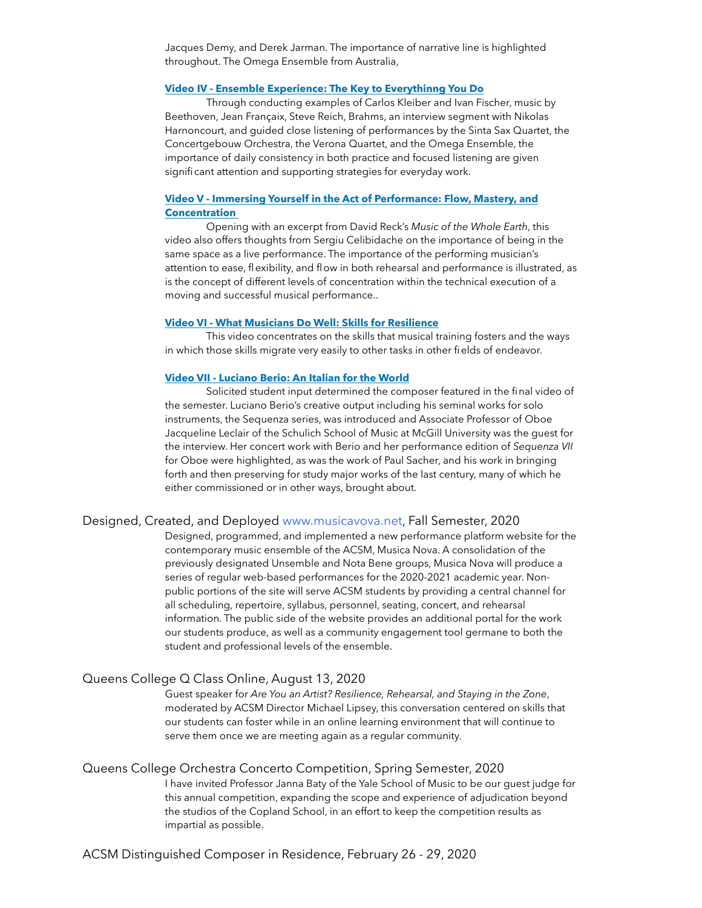Jacques Demy, and Derek Jarman. The importance of narrative line is highlighted throughout. The Omega Ensemble from Australia,

#### **[Video IV - Ensemble Experience: The Key to Everythinng You Do](https://vimeo.com/403045270)**

 Through conducting examples of Carlos Kleiber and Ivan Fischer, music by Beethoven, Jean Françaix, Steve Reich, Brahms, an interview segment with Nikolas Harnoncourt, and guided close listening of performances by the Sinta Sax Quartet, the Concertgebouw Orchestra, the Verona Quartet, and the Omega Ensemble, the importance of daily consistency in both practice and focused listening are given significant attention and supporting strategies for everyday work.

#### **[Video V - Immersing Yourself in the Act of Performance: Flow, Mastery, and](https://vimeo.com/411912031)  [Concentration](https://vimeo.com/411912031)**

 Opening with an excerpt from David Reck's *Music of the Whole Earth*, this video also offers thoughts from Sergiu Celibidache on the importance of being in the same space as a live performance. The importance of the performing musician's attention to ease, flexibility, and flow in both rehearsal and performance is illustrated, as is the concept of different levels of concentration within the technical execution of a moving and successful musical performance..

#### **[Video VI - What Musicians Do Well: Skills for Resilience](https://vimeo.com/416036737)**

 This video concentrates on the skills that musical training fosters and the ways in which those skills migrate very easily to other tasks in other fields of endeavor.

#### **[Video VII - Luciano Berio: An Italian for the World](https://vimeo.com/418632067)**

 Solicited student input determined the composer featured in the final video of the semester. Luciano Berio's creative output including his seminal works for solo instruments, the Sequenza series, was introduced and Associate Professor of Oboe Jacqueline Leclair of the Schulich School of Music at McGill University was the guest for the interview. Her concert work with Berio and her performance edition of *Sequenza VII* for Oboe were highlighted, as was the work of Paul Sacher, and his work in bringing forth and then preserving for study major works of the last century, many of which he either commissioned or in other ways, brought about.

#### Designed, Created, and Deployed [www.musicavova.net](http://www.musicanova.net), Fall Semester, 2020

Designed, programmed, and implemented a new performance platform website for the contemporary music ensemble of the ACSM, Musica Nova. A consolidation of the previously designated Unsemble and Nota Bene groups, Musica Nova will produce a series of regular web-based performances for the 2020-2021 academic year. Nonpublic portions of the site will serve ACSM students by providing a central channel for all scheduling, repertoire, syllabus, personnel, seating, concert, and rehearsal information. The public side of the website provides an additional portal for the work our students produce, as well as a community engagement tool germane to both the student and professional levels of the ensemble.

#### Queens College Q Class Online, August 13, 2020

Guest speaker for *Are You an Artist? Resilience, Rehearsal, and Staying in the Zone*, moderated by ACSM Director Michael Lipsey, this conversation centered on skills that our students can foster while in an online learning environment that will continue to serve them once we are meeting again as a regular community.

#### Queens College Orchestra Concerto Competition, Spring Semester, 2020

I have invited Professor Janna Baty of the Yale School of Music to be our guest judge for this annual competition, expanding the scope and experience of adjudication beyond the studios of the Copland School, in an effort to keep the competition results as impartial as possible.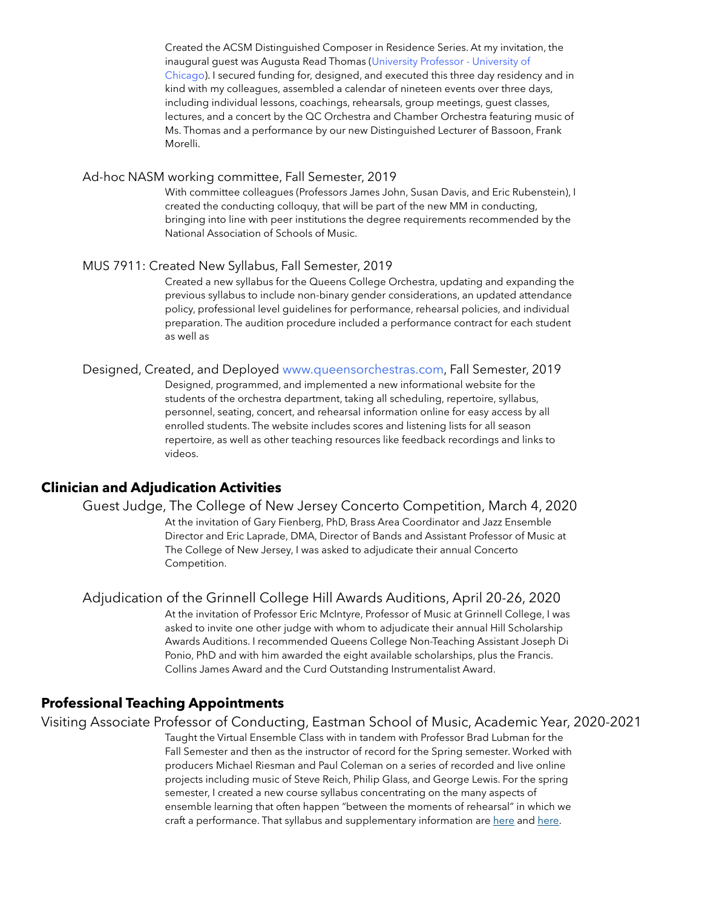Created the ACSM Distinguished Composer in Residence Series. At my invitation, the inaugural guest was Augusta Read Thomas [\(University Professor - University of](http://www.augustareadthomas.com)  [Chicago](http://www.augustareadthomas.com)). I secured funding for, designed, and executed this three day residency and in kind with my colleagues, assembled a calendar of nineteen events over three days, including individual lessons, coachings, rehearsals, group meetings, guest classes, lectures, and a concert by the QC Orchestra and Chamber Orchestra featuring music of Ms. Thomas and a performance by our new Distinguished Lecturer of Bassoon, Frank Morelli.

#### Ad-hoc NASM working committee, Fall Semester, 2019

With committee colleagues (Professors James John, Susan Davis, and Eric Rubenstein), I created the conducting colloquy, that will be part of the new MM in conducting, bringing into line with peer institutions the degree requirements recommended by the National Association of Schools of Music.

#### MUS 7911: Created New Syllabus, Fall Semester, 2019

Created a new syllabus for the Queens College Orchestra, updating and expanding the previous syllabus to include non-binary gender considerations, an updated attendance policy, professional level guidelines for performance, rehearsal policies, and individual preparation. The audition procedure included a performance contract for each student as well as

#### Designed, Created, and Deployed [www.queensorchestras.com](http://www.queensorchestras.com), Fall Semester, 2019

Designed, programmed, and implemented a new informational website for the students of the orchestra department, taking all scheduling, repertoire, syllabus, personnel, seating, concert, and rehearsal information online for easy access by all enrolled students. The website includes scores and listening lists for all season repertoire, as well as other teaching resources like feedback recordings and links to videos.

#### **Clinician and Adjudication Activities**

#### Guest Judge, The College of New Jersey Concerto Competition, March 4, 2020

At the invitation of Gary Fienberg, PhD, Brass Area Coordinator and Jazz Ensemble Director and Eric Laprade, DMA, Director of Bands and Assistant Professor of Music at The College of New Jersey, I was asked to adjudicate their annual Concerto Competition.

 Adjudication of the Grinnell College Hill Awards Auditions, April 20-26, 2020 At the invitation of Professor Eric McIntyre, Professor of Music at Grinnell College, I was asked to invite one other judge with whom to adjudicate their annual Hill Scholarship Awards Auditions. I recommended Queens College Non-Teaching Assistant Joseph Di Ponio, PhD and with him awarded the eight available scholarships, plus the Francis.

Collins James Award and the Curd Outstanding Instrumentalist Award.

#### **Professional Teaching Appointments**

Visiting Associate Professor of Conducting, Eastman School of Music, Academic Year, 2020-2021

Taught the Virtual Ensemble Class with in tandem with Professor Brad Lubman for the Fall Semester and then as the instructor of record for the Spring semester. Worked with producers Michael Riesman and Paul Coleman on a series of recorded and live online projects including music of Steve Reich, Philip Glass, and George Lewis. For the spring semester, I created a new course syllabus concentrating on the many aspects of ensemble learning that often happen "between the moments of rehearsal" in which we craft a performance. That syllabus and supplementary information are [here](https://drive.google.com/file/d/1xUcQJlwsuc0HRUfr4p0-o5Fqsur3-V-6/view?usp=sharing) and [here.](https://drive.google.com/file/d/1ZL1eLuBonfspGHttrLeFFhEkXMljmGy9/view?usp=sharing)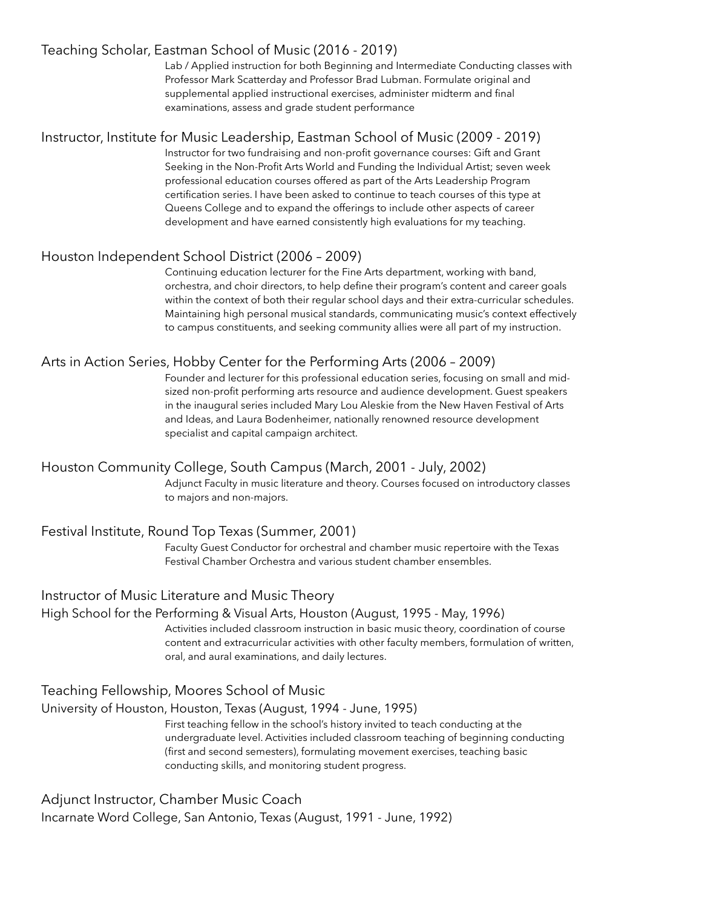# Teaching Scholar, Eastman School of Music (2016 - 2019)

Lab / Applied instruction for both Beginning and Intermediate Conducting classes with Professor Mark Scatterday and Professor Brad Lubman. Formulate original and supplemental applied instructional exercises, administer midterm and final examinations, assess and grade student performance

# Instructor, Institute for Music Leadership, Eastman School of Music (2009 - 2019)

Instructor for two fundraising and non-profit governance courses: Gift and Grant Seeking in the Non-Profit Arts World and Funding the Individual Artist; seven week professional education courses offered as part of the Arts Leadership Program certification series. I have been asked to continue to teach courses of this type at Queens College and to expand the offerings to include other aspects of career development and have earned consistently high evaluations for my teaching.

# Houston Independent School District (2006 – 2009)

Continuing education lecturer for the Fine Arts department, working with band, orchestra, and choir directors, to help define their program's content and career goals within the context of both their regular school days and their extra-curricular schedules. Maintaining high personal musical standards, communicating music's context effectively to campus constituents, and seeking community allies were all part of my instruction.

# Arts in Action Series, Hobby Center for the Performing Arts (2006 – 2009)

Founder and lecturer for this professional education series, focusing on small and midsized non-profit performing arts resource and audience development. Guest speakers in the inaugural series included Mary Lou Aleskie from the New Haven Festival of Arts and Ideas, and Laura Bodenheimer, nationally renowned resource development specialist and capital campaign architect.

# Houston Community College, South Campus (March, 2001 - July, 2002)

Adjunct Faculty in music literature and theory. Courses focused on introductory classes to majors and non-majors.

### Festival Institute, Round Top Texas (Summer, 2001)

Faculty Guest Conductor for orchestral and chamber music repertoire with the Texas Festival Chamber Orchestra and various student chamber ensembles.

# Instructor of Music Literature and Music Theory

### High School for the Performing & Visual Arts, Houston (August, 1995 - May, 1996)

Activities included classroom instruction in basic music theory, coordination of course content and extracurricular activities with other faculty members, formulation of written, oral, and aural examinations, and daily lectures.

# Teaching Fellowship, Moores School of Music

# University of Houston, Houston, Texas (August, 1994 - June, 1995)

First teaching fellow in the school's history invited to teach conducting at the undergraduate level. Activities included classroom teaching of beginning conducting (first and second semesters), formulating movement exercises, teaching basic conducting skills, and monitoring student progress.

# Adjunct Instructor, Chamber Music Coach

Incarnate Word College, San Antonio, Texas (August, 1991 - June, 1992)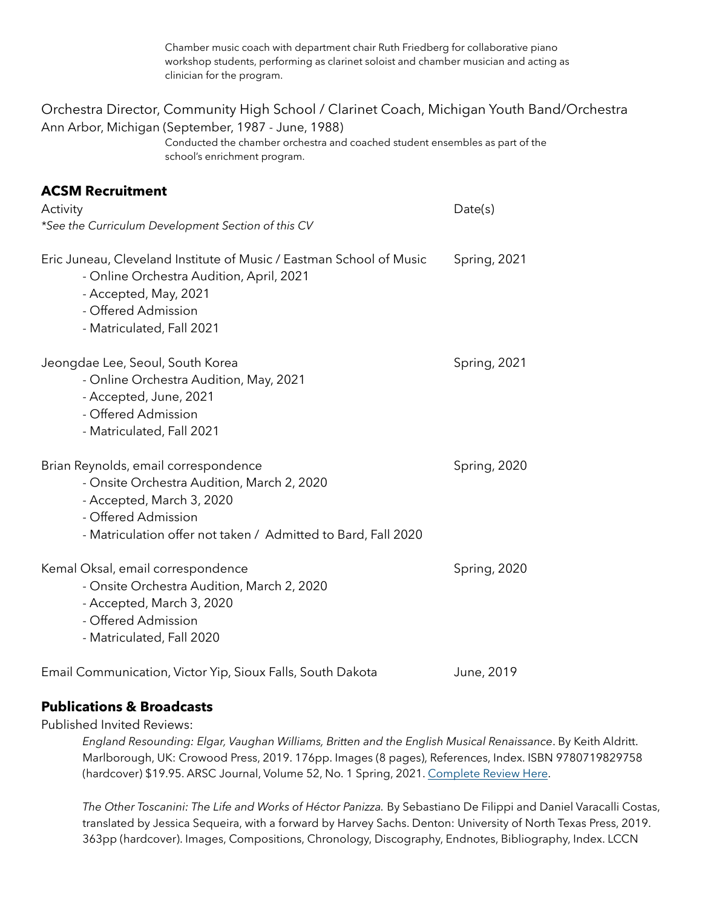Chamber music coach with department chair Ruth Friedberg for collaborative piano workshop students, performing as clarinet soloist and chamber musician and acting as clinician for the program.

| Orchestra Director, Community High School / Clarinet Coach, Michigan Youth Band/Orchestra<br>Ann Arbor, Michigan (September, 1987 - June, 1988)<br>Conducted the chamber orchestra and coached student ensembles as part of the<br>school's enrichment program. |              |  |
|-----------------------------------------------------------------------------------------------------------------------------------------------------------------------------------------------------------------------------------------------------------------|--------------|--|
| <b>ACSM Recruitment</b><br>Activity<br>*See the Curriculum Development Section of this CV                                                                                                                                                                       | Date(s)      |  |
| Eric Juneau, Cleveland Institute of Music / Eastman School of Music<br>- Online Orchestra Audition, April, 2021<br>- Accepted, May, 2021<br>- Offered Admission<br>- Matriculated, Fall 2021                                                                    | Spring, 2021 |  |
| Jeongdae Lee, Seoul, South Korea<br>- Online Orchestra Audition, May, 2021<br>- Accepted, June, 2021<br>- Offered Admission<br>- Matriculated, Fall 2021                                                                                                        | Spring, 2021 |  |
| Brian Reynolds, email correspondence<br>- Onsite Orchestra Audition, March 2, 2020<br>- Accepted, March 3, 2020<br>- Offered Admission<br>- Matriculation offer not taken / Admitted to Bard, Fall 2020                                                         | Spring, 2020 |  |
| Kemal Oksal, email correspondence<br>- Onsite Orchestra Audition, March 2, 2020<br>- Accepted, March 3, 2020<br>- Offered Admission<br>- Matriculated, Fall 2020                                                                                                | Spring, 2020 |  |
| Email Communication, Victor Yip, Sioux Falls, South Dakota                                                                                                                                                                                                      | June, 2019   |  |

# **Publications & Broadcasts**

Published Invited Reviews:

*England Resounding: Elgar, Vaughan Williams, Britten and the English Musical Renaissance*. By Keith Aldritt. Marlborough, UK: Crowood Press, 2019. 176pp. Images (8 pages), References, Index. ISBN 9780719829758 (hardcover) \$19.95. ARSC Journal, Volume 52, No. 1 Spring, 2021. [Complete Review Here](https://drive.google.com/file/d/16X1lzDnzph8RwxBRhQjcggDGdnX5Izq4/view?usp=sharing)[.](https://drive.google.com/drive/folders/1oHhetJWO_aniHGS7K46G5BOZL6gDm5ru?usp=sharing)

*The Other Toscanini: The Life and Works of Héctor Panizza.* By Sebastiano De Filippi and Daniel Varacalli Costas, translated by Jessica Sequeira, with a forward by Harvey Sachs. Denton: University of North Texas Press, 2019. 363pp (hardcover). Images, Compositions, Chronology, Discography, Endnotes, Bibliography, Index. LCCN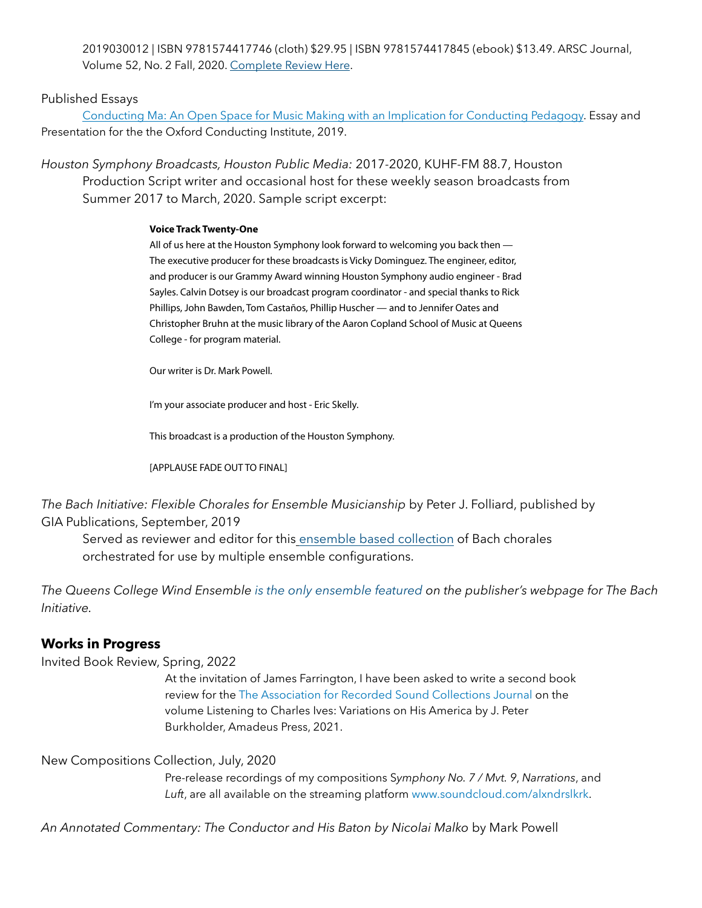2019030012 | ISBN 9781574417746 (cloth) \$29.95 | ISBN 9781574417845 (ebook) \$13.49. ARSC Journal, Volume 52, No. 2 Fall, 2020. [Complete Review Here.](https://drive.google.com/file/d/1h5nV-8SiaOK_jMcXNzowwFImcRlie4Vn/view?usp=sharing)

### Published Essays

[Conducting Ma: An Open Space for Music Making with an Implication for Conducting Pedagogy](https://drive.google.com/file/d/1TFmtN4DwZrt8e1wTwGmJkFOCbieV6f86/view?usp=sharing). Essay and Presentation for the the Oxford Conducting Institute, 2019.

*Houston Symphony Broadcasts, Houston Public Media:* 2017-2020, KUHF-FM 88.7, Houston Production Script writer and occasional host for these weekly season broadcasts from Summer 2017 to March, 2020. Sample script excerpt:

#### **Voice Track Twenty-One**

All of us here at the Houston Symphony look forward to welcoming you back then — The executive producer for these broadcasts is Vicky Dominguez. The engineer, editor, and producer is our Grammy Award winning Houston Symphony audio engineer - Brad Sayles. Calvin Dotsey is our broadcast program coordinator - and special thanks to Rick Phillips, John Bawden, Tom Castaños, Phillip Huscher — and to Jennifer Oates and Christopher Bruhn at the music library of the Aaron Copland School of Music at Queens College - for program material.

Our writer is Dr. Mark Powell.

I'm your associate producer and host - Eric Skelly.

This broadcast is a production of the Houston Symphony.

[APPLAUSE FADE OUT TO FINAL]

*The Bach Initiative: Flexible Chorales for Ensemble Musicianship* by Peter J. Folliard, published by GIA Publications, September, 2019

Served as reviewer and editor for this [ensemble based collection](https://www.giamusic.com/store/resource/the-bach-initiative-working-title-book-g9931) of Bach chorales orchestrated for use by multiple ensemble configurations.

*The Queens College Wind Ensemble [is the only ensemble featured](https://www.giamusic.com/store/resource/the-bach-initiative-working-title-book-g9931) on the publisher's webpage for The Bach Initiative.*

# **Works in Progress**

Invited Book Review, Spring, 2022

At the invitation of James Farrington, I have been asked to write a second book review for the [The Association for Recorded Sound Collections Journal](http://www.arsc-audio.org/journal.html) on the volume Listening to Charles Ives: Variations on His America by J. Peter Burkholder, Amadeus Press, 2021.

#### New Compositions Collection, July, 2020

 Pre-release recordings of my compositions S*ymphony No. 7 / Mvt. 9*, *Narrations*, and *Luft*, are all available on the streaming platform [www.soundcloud.com/alxndrslkrk.](http://www.soundcloud.com/alxndrslkrk)

*An Annotated Commentary: The Conductor and His Baton by Nicolai Malko* by Mark Powell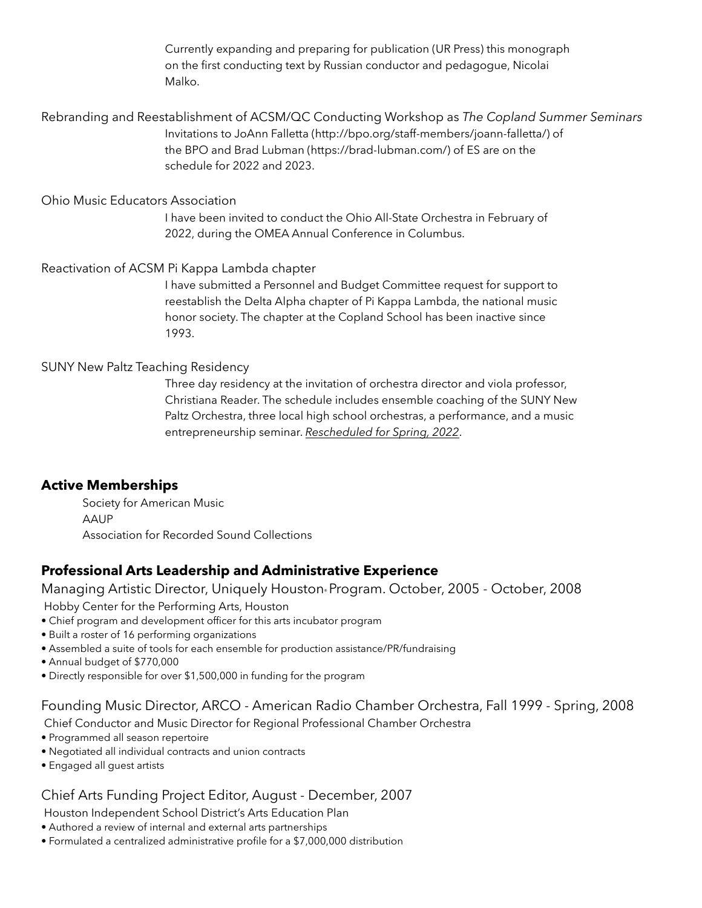Currently expanding and preparing for publication (UR Press) this monograph on the first conducting text by Russian conductor and pedagogue, Nicolai Malko.

Rebranding and Reestablishment of ACSM/QC Conducting Workshop as *The Copland Summer Seminars* Invitations to JoAnn Falletta ([http://bpo.org/staff-members/joann-falletta/\)](http://bpo.org/staff-members/joann-falletta/) of the BPO and Brad Lubman [\(https://brad-lubman.com/](https://brad-lubman.com/)) of ES are on the schedule for 2022 and 2023.

### Ohio Music Educators Association

I have been invited to conduct the Ohio All-State Orchestra in February of 2022, during the OMEA Annual Conference in Columbus.

### Reactivation of ACSM Pi Kappa Lambda chapter

I have submitted a Personnel and Budget Committee request for support to reestablish the Delta Alpha chapter of Pi Kappa Lambda, the national music honor society. The chapter at the Copland School has been inactive since 1993.

### SUNY New Paltz Teaching Residency

Three day residency at the invitation of orchestra director and viola professor, Christiana Reader. The schedule includes ensemble coaching of the SUNY New Paltz Orchestra, three local high school orchestras, a performance, and a music entrepreneurship seminar. *Rescheduled for Spring, 2022*.

### **Active Memberships**

 Society for American Music AAUP Association for Recorded Sound Collections

# **Professional Arts Leadership and Administrative Experience**

Managing Artistic Director, Uniquely Houston® Program. October, 2005 - October, 2008

Hobby Center for the Performing Arts, Houston

- Chief program and development officer for this arts incubator program
- Built a roster of 16 performing organizations
- Assembled a suite of tools for each ensemble for production assistance/PR/fundraising
- Annual budget of \$770,000
- Directly responsible for over \$1,500,000 in funding for the program

Founding Music Director, ARCO - American Radio Chamber Orchestra, Fall 1999 - Spring, 2008

Chief Conductor and Music Director for Regional Professional Chamber Orchestra

- Programmed all season repertoire
- Negotiated all individual contracts and union contracts
- Engaged all guest artists

# Chief Arts Funding Project Editor, August - December, 2007

Houston Independent School District's Arts Education Plan

- Authored a review of internal and external arts partnerships
- Formulated a centralized administrative profile for a \$7,000,000 distribution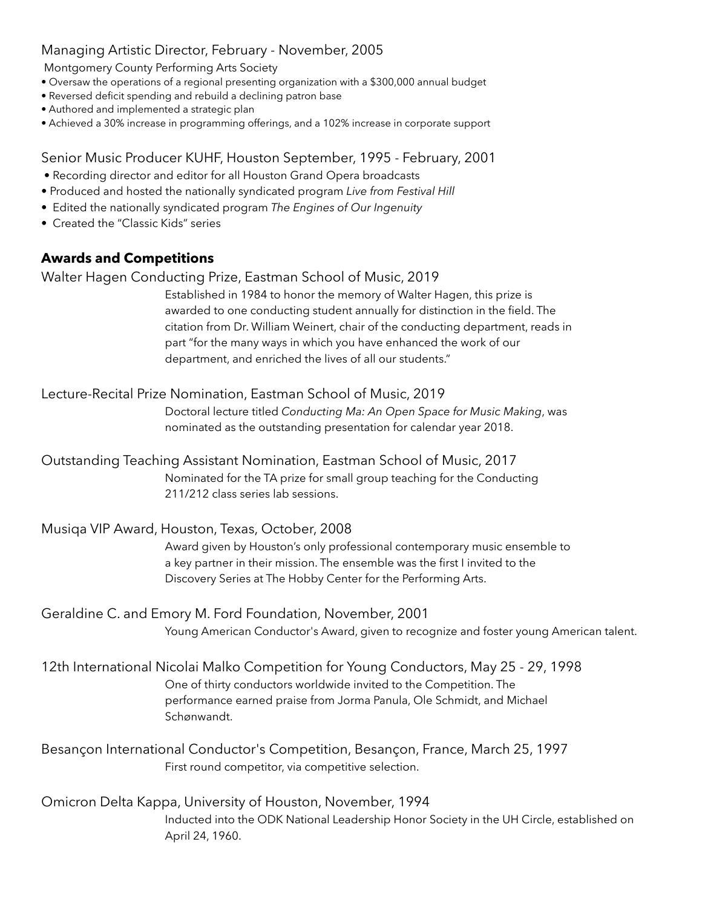# Managing Artistic Director, February - November, 2005

Montgomery County Performing Arts Society

- Oversaw the operations of a regional presenting organization with a \$300,000 annual budget
- Reversed deficit spending and rebuild a declining patron base
- Authored and implemented a strategic plan
- Achieved a 30% increase in programming offerings, and a 102% increase in corporate support

Senior Music Producer KUHF, Houston September, 1995 - February, 2001

- Recording director and editor for all Houston Grand Opera broadcasts
- Produced and hosted the nationally syndicated program *Live from Festival Hill*
- Edited the nationally syndicated program *The Engines of Our Ingenuity*
- Created the "Classic Kids" series

# **Awards and Competitions**

# Walter Hagen Conducting Prize, Eastman School of Music, 2019

Established in 1984 to honor the memory of Walter Hagen, this prize is awarded to one conducting student annually for distinction in the field. The citation from Dr. William Weinert, chair of the conducting department, reads in part "for the many ways in which you have enhanced the work of our department, and enriched the lives of all our students."

# Lecture-Recital Prize Nomination, Eastman School of Music, 2019

Doctoral lecture titled *Conducting Ma: An Open Space for Music Making*, was nominated as the outstanding presentation for calendar year 2018.

# Outstanding Teaching Assistant Nomination, Eastman School of Music, 2017 Nominated for the TA prize for small group teaching for the Conducting

211/212 class series lab sessions.

Musiqa VIP Award, Houston, Texas, October, 2008

Award given by Houston's only professional contemporary music ensemble to a key partner in their mission. The ensemble was the first I invited to the Discovery Series at The Hobby Center for the Performing Arts.

# Geraldine C. and Emory M. Ford Foundation, November, 2001 Young American Conductor's Award, given to recognize and foster young American talent.

# 12th International Nicolai Malko Competition for Young Conductors, May 25 - 29, 1998 One of thirty conductors worldwide invited to the Competition. The performance earned praise from Jorma Panula, Ole Schmidt, and Michael Schønwandt.

# Besançon International Conductor's Competition, Besançon, France, March 25, 1997 First round competitor, via competitive selection.

# Omicron Delta Kappa, University of Houston, November, 1994 Inducted into the ODK National Leadership Honor Society in the UH Circle, established on April 24, 1960.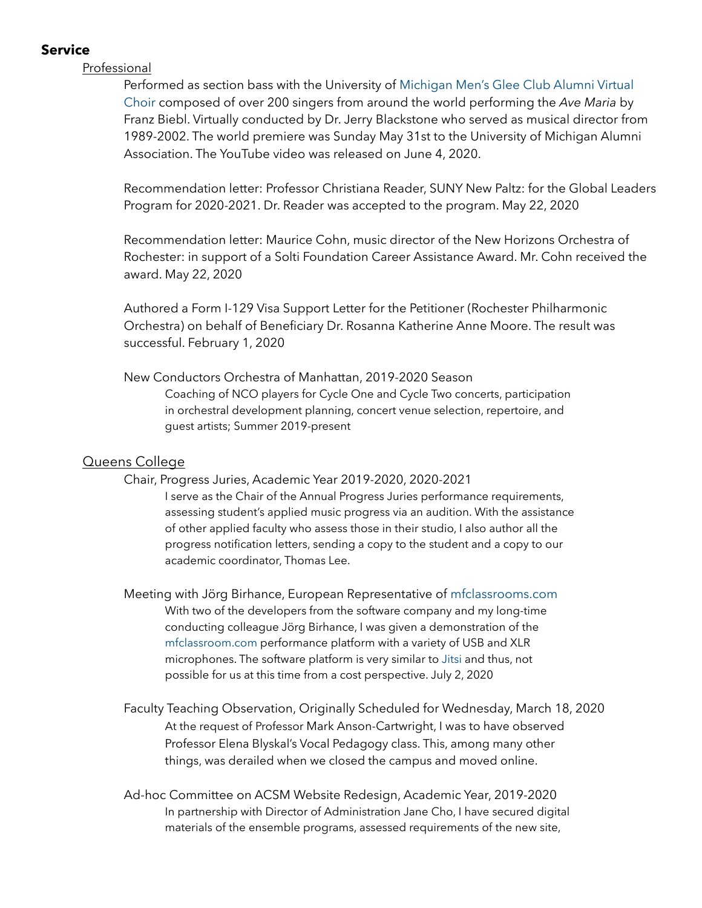# **Service**

### Professional

Performed as section bass with the University of [Michigan Men's Glee Club Alumni Virtual](https://www.youtube.com/watch?v=Wod4HsHfcEk)  [Choir](https://www.youtube.com/watch?v=Wod4HsHfcEk) composed of over 200 singers from around the world performing the *Ave Maria* by Franz Biebl. Virtually conducted by Dr. Jerry Blackstone who served as musical director from 1989-2002. The world premiere was Sunday May 31st to the University of Michigan Alumni Association. The YouTube video was released on June 4, 2020.

Recommendation letter: Professor Christiana Reader, SUNY New Paltz: for the Global Leaders Program for 2020-2021. Dr. Reader was accepted to the program. May 22, 2020

Recommendation letter: Maurice Cohn, music director of the New Horizons Orchestra of Rochester: in support of a Solti Foundation Career Assistance Award. Mr. Cohn received the award. May 22, 2020

Authored a Form I-129 Visa Support Letter for the Petitioner (Rochester Philharmonic Orchestra) on behalf of Beneficiary Dr. Rosanna Katherine Anne Moore. The result was successful. February 1, 2020

### New Conductors Orchestra of Manhattan, 2019-2020 Season

Coaching of NCO players for Cycle One and Cycle Two concerts, participation in orchestral development planning, concert venue selection, repertoire, and guest artists; Summer 2019-present

### Queens College

#### Chair, Progress Juries, Academic Year 2019-2020, 2020-2021

I serve as the Chair of the Annual Progress Juries performance requirements, assessing student's applied music progress via an audition. With the assistance of other applied faculty who assess those in their studio, I also author all the progress notification letters, sending a copy to the student and a copy to our academic coordinator, Thomas Lee.

 Meeting with Jörg Birhance, European Representative of [mfclassrooms.com](http://mfclassrooms.com) With two of the developers from the software company and my long-time conducting colleague Jörg Birhance, I was given a demonstration of the [mfclassroom.com](http://mfclassroom.com) performance platform with a variety of USB and XLR microphones. The software platform is very similar to [Jitsi](https://jitsi.org/) and thus, not possible for us at this time from a cost perspective. July 2, 2020

 Faculty Teaching Observation, Originally Scheduled for Wednesday, March 18, 2020 At the request of Professor Mark Anson-Cartwright, I was to have observed Professor Elena Blyskal's Vocal Pedagogy class. This, among many other things, was derailed when we closed the campus and moved online.

 Ad-hoc Committee on ACSM Website Redesign, Academic Year, 2019-2020 In partnership with Director of Administration Jane Cho, I have secured digital materials of the ensemble programs, assessed requirements of the new site,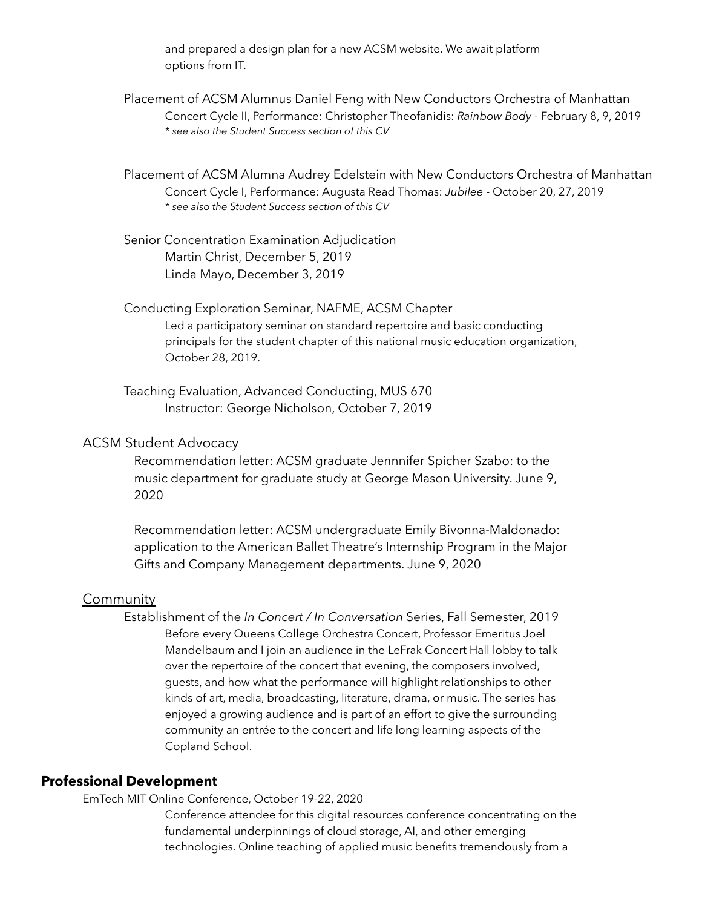and prepared a design plan for a new ACSM website. We await platform options from IT.

 Placement of ACSM Alumnus Daniel Feng with New Conductors Orchestra of Manhattan Concert Cycle II, Performance: Christopher Theofanidis: *Rainbow Body* - February 8, 9, 2019  *\* see also the Student Success section of this CV* 

 Placement of ACSM Alumna Audrey Edelstein with New Conductors Orchestra of Manhattan Concert Cycle I, Performance: Augusta Read Thomas: *Jubilee* - October 20, 27, 2019  *\* see also the Student Success section of this CV* 

 Senior Concentration Examination Adjudication Martin Christ, December 5, 2019 Linda Mayo, December 3, 2019

 Conducting Exploration Seminar, NAFME, ACSM Chapter Led a participatory seminar on standard repertoire and basic conducting principals for the student chapter of this national music education organization, October 28, 2019.

 Teaching Evaluation, Advanced Conducting, MUS 670 Instructor: George Nicholson, October 7, 2019

### ACSM Student Advocacy

Recommendation letter: ACSM graduate Jennnifer Spicher Szabo: to the music department for graduate study at George Mason University. June 9, 2020

Recommendation letter: ACSM undergraduate Emily Bivonna-Maldonado: application to the American Ballet Theatre's Internship Program in the Major Gifts and Company Management departments. June 9, 2020

#### **Community**

 Establishment of the *In Concert / In Conversation* Series, Fall Semester, 2019 Before every Queens College Orchestra Concert, Professor Emeritus Joel Mandelbaum and I join an audience in the LeFrak Concert Hall lobby to talk over the repertoire of the concert that evening, the composers involved, guests, and how what the performance will highlight relationships to other kinds of art, media, broadcasting, literature, drama, or music. The series has enjoyed a growing audience and is part of an effort to give the surrounding community an entrée to the concert and life long learning aspects of the Copland School.

### **Professional Development**

EmTech MIT Online Conference, October 19-22, 2020

Conference attendee for this digital resources conference concentrating on the fundamental underpinnings of cloud storage, AI, and other emerging technologies. Online teaching of applied music benefits tremendously from a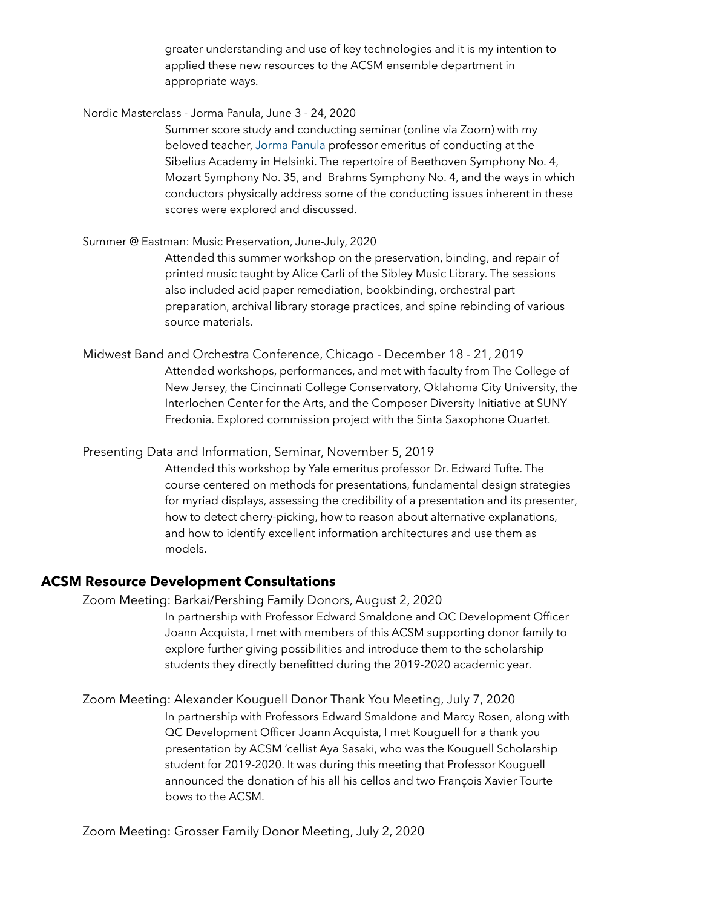greater understanding and use of key technologies and it is my intention to applied these new resources to the ACSM ensemble department in appropriate ways.

Nordic Masterclass - Jorma Panula, June 3 - 24, 2020

Summer score study and conducting seminar (online via Zoom) with my beloved teacher, [Jorma Panula](http://panula-academy.com/) professor emeritus of conducting at the Sibelius Academy in Helsinki. The repertoire of Beethoven Symphony No. 4, Mozart Symphony No. 35, and Brahms Symphony No. 4, and the ways in which conductors physically address some of the conducting issues inherent in these scores were explored and discussed.

#### Summer @ Eastman: Music Preservation, June-July, 2020

Attended this summer workshop on the preservation, binding, and repair of printed music taught by Alice Carli of the Sibley Music Library. The sessions also included acid paper remediation, bookbinding, orchestral part preparation, archival library storage practices, and spine rebinding of various source materials.

Midwest Band and Orchestra Conference, Chicago - December 18 - 21, 2019 Attended workshops, performances, and met with faculty from The College of New Jersey, the Cincinnati College Conservatory, Oklahoma City University, the Interlochen Center for the Arts, and the Composer Diversity Initiative at SUNY Fredonia. Explored commission project with the Sinta Saxophone Quartet.

#### Presenting Data and Information, Seminar, November 5, 2019

Attended this workshop by Yale emeritus professor Dr. Edward Tufte. The course centered on methods for presentations, fundamental design strategies for myriad displays, assessing the credibility of a presentation and its presenter, how to detect cherry-picking, how to reason about alternative explanations, and how to identify excellent information architectures and use them as models.

#### **ACSM Resource Development Consultations**

 Zoom Meeting: Barkai/Pershing Family Donors, August 2, 2020 In partnership with Professor Edward Smaldone and QC Development Officer Joann Acquista, I met with members of this ACSM supporting donor family to explore further giving possibilities and introduce them to the scholarship students they directly benefitted during the 2019-2020 academic year.

 Zoom Meeting: Alexander Kouguell Donor Thank You Meeting, July 7, 2020 In partnership with Professors Edward Smaldone and Marcy Rosen, along with QC Development Officer Joann Acquista, I met Kouguell for a thank you presentation by ACSM 'cellist Aya Sasaki, who was the Kouguell Scholarship student for 2019-2020. It was during this meeting that Professor Kouguell announced the donation of his all his cellos and two François Xavier Tourte bows to the ACSM.

Zoom Meeting: Grosser Family Donor Meeting, July 2, 2020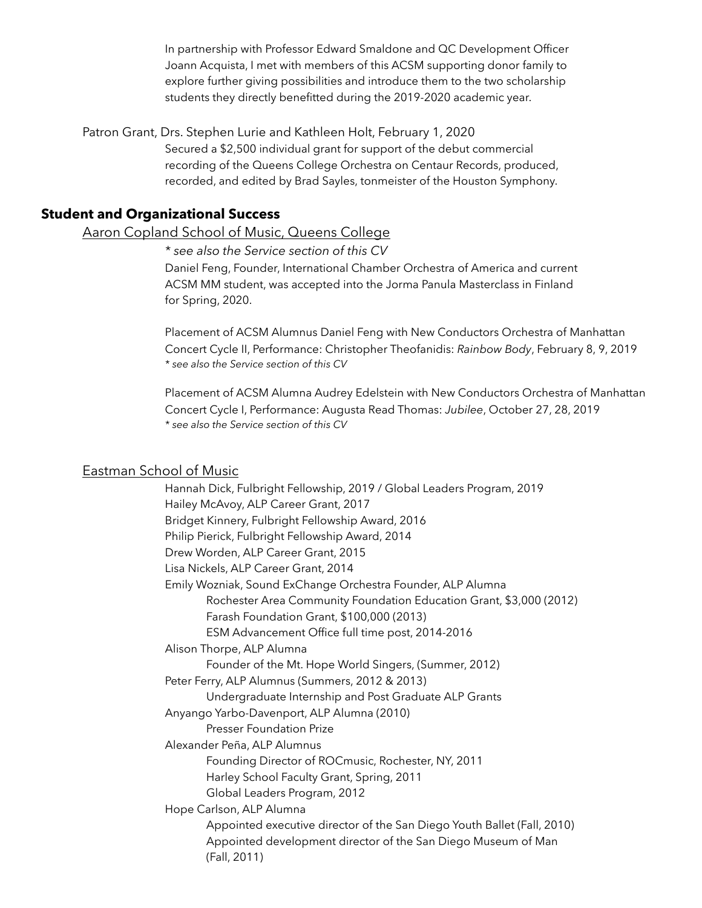In partnership with Professor Edward Smaldone and QC Development Officer Joann Acquista, I met with members of this ACSM supporting donor family to explore further giving possibilities and introduce them to the two scholarship students they directly benefitted during the 2019-2020 academic year.

Patron Grant, Drs. Stephen Lurie and Kathleen Holt, February 1, 2020

Secured a \$2,500 individual grant for support of the debut commercial recording of the Queens College Orchestra on Centaur Records, produced, recorded, and edited by Brad Sayles, tonmeister of the Houston Symphony.

# **Student and Organizational Success**

### Aaron Copland School of Music, Queens College

*\* see also the Service section of this CV*

Daniel Feng, Founder, International Chamber Orchestra of America and current ACSM MM student, was accepted into the Jorma Panula Masterclass in Finland for Spring, 2020.

 Placement of ACSM Alumnus Daniel Feng with New Conductors Orchestra of Manhattan Concert Cycle II, Performance: Christopher Theofanidis: *Rainbow Body*, February 8, 9, 2019  *\* see also the Service section of this CV* 

 Placement of ACSM Alumna Audrey Edelstein with New Conductors Orchestra of Manhattan Concert Cycle I, Performance: Augusta Read Thomas: *Jubilee*, October 27, 28, 2019  *\* see also the Service section of this CV*

#### Eastman School of Music

Hannah Dick, Fulbright Fellowship, 2019 / Global Leaders Program, 2019 Hailey McAvoy, ALP Career Grant, 2017 Bridget Kinnery, Fulbright Fellowship Award, 2016 Philip Pierick, Fulbright Fellowship Award, 2014 Drew Worden, ALP Career Grant, 2015 Lisa Nickels, ALP Career Grant, 2014 Emily Wozniak, Sound ExChange Orchestra Founder, ALP Alumna Rochester Area Community Foundation Education Grant, \$3,000 (2012) Farash Foundation Grant, \$100,000 (2013) ESM Advancement Office full time post, 2014-2016 Alison Thorpe, ALP Alumna Founder of the Mt. Hope World Singers, (Summer, 2012) Peter Ferry, ALP Alumnus (Summers, 2012 & 2013) Undergraduate Internship and Post Graduate ALP Grants Anyango Yarbo-Davenport, ALP Alumna (2010) Presser Foundation Prize Alexander Peña, ALP Alumnus Founding Director of ROCmusic, Rochester, NY, 2011 Harley School Faculty Grant, Spring, 2011 Global Leaders Program, 2012 Hope Carlson, ALP Alumna Appointed executive director of the San Diego Youth Ballet (Fall, 2010) Appointed development director of the San Diego Museum of Man (Fall, 2011)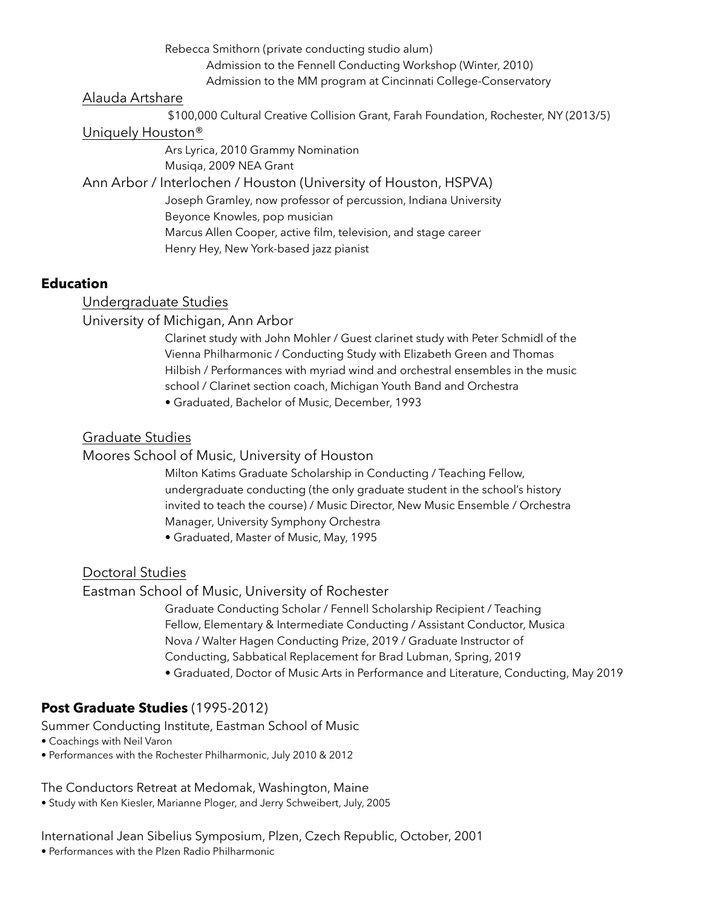Rebecca Smithorn (private conducting studio alum)

Admission to the Fennell Conducting Workshop (Winter, 2010)

Admission to the MM program at Cincinnati College-Conservatory

# Alauda Artshare

\$100,000 Cultural Creative Collision Grant, Farah Foundation, Rochester, NY (2013/5)

# Uniquely Houston®

Ars Lyrica, 2010 Grammy Nomination Musiqa, 2009 NEA Grant Ann Arbor / Interlochen / Houston (University of Houston, HSPVA)

Joseph Gramley, now professor of percussion, Indiana University Beyonce Knowles, pop musician Marcus Allen Cooper, active film, television, and stage career Henry Hey, New York-based jazz pianist

# **Education**

Undergraduate Studies

# University of Michigan, Ann Arbor

Clarinet study with John Mohler / Guest clarinet study with Peter Schmidl of the Vienna Philharmonic / Conducting Study with Elizabeth Green and Thomas Hilbish / Performances with myriad wind and orchestral ensembles in the music school / Clarinet section coach, Michigan Youth Band and Orchestra

• Graduated, Bachelor of Music, December, 1993

# Graduate Studies

Moores School of Music, University of Houston

Milton Katims Graduate Scholarship in Conducting / Teaching Fellow, undergraduate conducting (the only graduate student in the school's history invited to teach the course) / Music Director, New Music Ensemble / Orchestra Manager, University Symphony Orchestra

• Graduated, Master of Music, May, 1995

# Doctoral Studies

Eastman School of Music, University of Rochester

Graduate Conducting Scholar / Fennell Scholarship Recipient / Teaching Fellow, Elementary & Intermediate Conducting / Assistant Conductor, Musica Nova / Walter Hagen Conducting Prize, 2019 / Graduate Instructor of Conducting, Sabbatical Replacement for Brad Lubman, Spring, 2019

• Graduated, Doctor of Music Arts in Performance and Literature, Conducting, May 2019

# **Post Graduate Studies** (1995-2012)

Summer Conducting Institute, Eastman School of Music

- Coachings with Neil Varon
- Performances with the Rochester Philharmonic, July 2010 & 2012

# The Conductors Retreat at Medomak, Washington, Maine

• Study with Ken Kiesler, Marianne Ploger, and Jerry Schweibert, July, 2005

International Jean Sibelius Symposium, Plzen, Czech Republic, October, 2001

• Performances with the Plzen Radio Philharmonic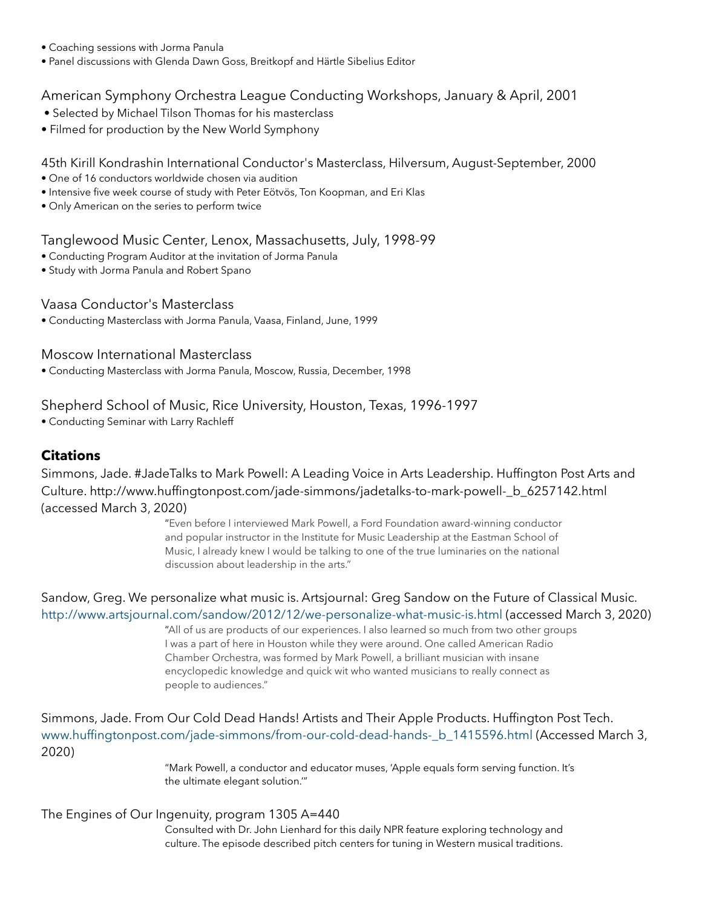- Coaching sessions with Jorma Panula
- Panel discussions with Glenda Dawn Goss, Breitkopf and Härtle Sibelius Editor

# American Symphony Orchestra League Conducting Workshops, January & April, 2001

- Selected by Michael Tilson Thomas for his masterclass
- Filmed for production by the New World Symphony

### 45th Kirill Kondrashin International Conductor's Masterclass, Hilversum, August-September, 2000

- One of 16 conductors worldwide chosen via audition
- Intensive five week course of study with Peter Eötvös, Ton Koopman, and Eri Klas
- Only American on the series to perform twice

### Tanglewood Music Center, Lenox, Massachusetts, July, 1998-99

- Conducting Program Auditor at the invitation of Jorma Panula
- Study with Jorma Panula and Robert Spano

### Vaasa Conductor's Masterclass

• Conducting Masterclass with Jorma Panula, Vaasa, Finland, June, 1999

### Moscow International Masterclass

• Conducting Masterclass with Jorma Panula, Moscow, Russia, December, 1998

# Shepherd School of Music, Rice University, Houston, Texas, 1996-1997

• Conducting Seminar with Larry Rachleff

### **Citations**

Simmons, Jade. #JadeTalks to Mark Powell: A Leading Voice in Arts Leadership. Huffington Post Arts and Culture. [http://www.huffingtonpost.com/jade-simmons/jadetalks-to-mark-powell-\\_b\\_6257142.html](http://www.huffingtonpost.com/jade-simmons/jadetalks-to-mark-powell-_b_6257142.html)  (accessed March 3, 2020)

> "Even before I interviewed Mark Powell, a Ford Foundation award-winning conductor and popular instructor in the Institute for Music Leadership at the Eastman School of Music, I already knew I would be talking to one of the true luminaries on the national discussion about leadership in the arts."

Sandow, Greg. We personalize what music is. Artsjournal: Greg Sandow on the Future of Classical Music. <http://www.artsjournal.com/sandow/2012/12/we-personalize-what-music-is.html> (accessed March 3, 2020)

> "All of us are products of our experiences. I also learned so much from two other groups I was a part of here in Houston while they were around. One called American Radio Chamber Orchestra, was formed by Mark Powell, a brilliant musician with insane encyclopedic knowledge and quick wit who wanted musicians to really connect as people to audiences."

Simmons, Jade. From Our Cold Dead Hands! Artists and Their Apple Products. Huffington Post Tech. [www.huffingtonpost.com/jade-simmons/from-our-cold-dead-hands-\\_b\\_1415596.html](http://www.huffingtonpost.com/jade-simmons/from-our-cold-dead-hands-_b_1415596.html) (Accessed March 3, 2020)

> "Mark Powell, a conductor and educator muses, 'Apple equals form serving function. It's the ultimate elegant solution.'"

### The Engines of Our Ingenuity, program 1305 A=440

Consulted with Dr. John Lienhard for this daily NPR feature exploring technology and culture. The episode described pitch centers for tuning in Western musical traditions.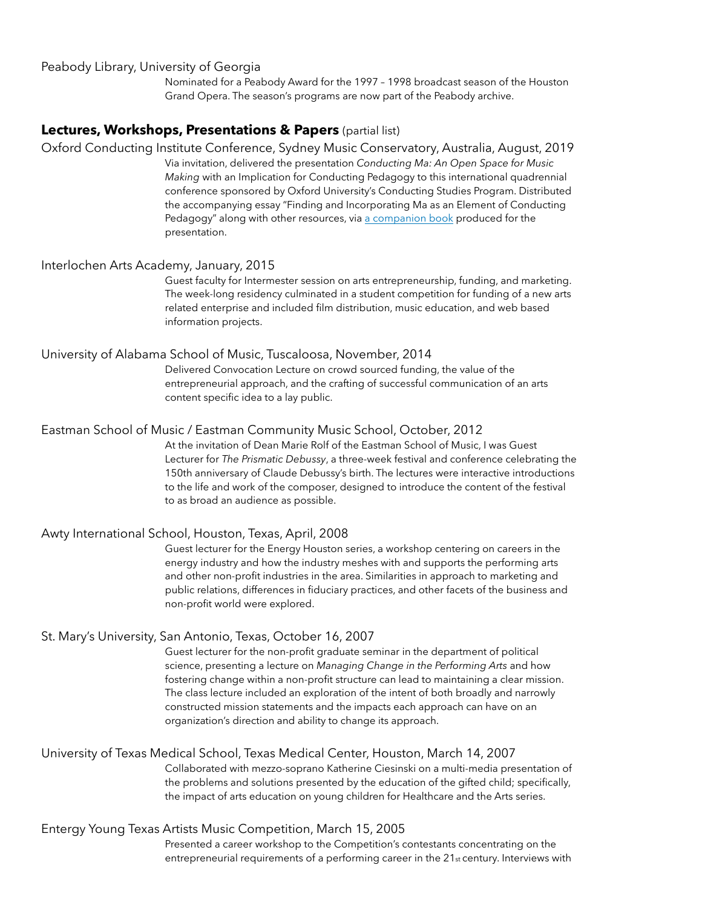#### Peabody Library, University of Georgia

Nominated for a Peabody Award for the 1997 – 1998 broadcast season of the Houston Grand Opera. The season's programs are now part of the Peabody archive.

#### **Lectures, Workshops, Presentations & Papers** (partial list)

Oxford Conducting Institute Conference, Sydney Music Conservatory, Australia, August, 2019 Via invitation, delivered the presentation *Conducting Ma: An Open Space for Music Making* with an Implication for Conducting Pedagogy to this international quadrennial conference sponsored by Oxford University's Conducting Studies Program. Distributed the accompanying essay "Finding and Incorporating Ma as an Element of Conducting Pedagogy" along with other resources, via [a companion book](https://drive.google.com/file/d/1TFmtN4DwZrt8e1wTwGmJkFOCbieV6f86/view?usp=sharing) produced for the

presentation.

#### Interlochen Arts Academy, January, 2015

Guest faculty for Intermester session on arts entrepreneurship, funding, and marketing. The week-long residency culminated in a student competition for funding of a new arts related enterprise and included film distribution, music education, and web based information projects.

#### University of Alabama School of Music, Tuscaloosa, November, 2014

Delivered Convocation Lecture on crowd sourced funding, the value of the entrepreneurial approach, and the crafting of successful communication of an arts content specific idea to a lay public.

#### Eastman School of Music / Eastman Community Music School, October, 2012

At the invitation of Dean Marie Rolf of the Eastman School of Music, I was Guest Lecturer for *The Prismatic Debussy*, a three-week festival and conference celebrating the 150th anniversary of Claude Debussy's birth. The lectures were interactive introductions to the life and work of the composer, designed to introduce the content of the festival to as broad an audience as possible.

#### Awty International School, Houston, Texas, April, 2008

Guest lecturer for the Energy Houston series, a workshop centering on careers in the energy industry and how the industry meshes with and supports the performing arts and other non-profit industries in the area. Similarities in approach to marketing and public relations, differences in fiduciary practices, and other facets of the business and non-profit world were explored.

#### St. Mary's University, San Antonio, Texas, October 16, 2007

Guest lecturer for the non-profit graduate seminar in the department of political science, presenting a lecture on *Managing Change in the Performing Arts* and how fostering change within a non-profit structure can lead to maintaining a clear mission. The class lecture included an exploration of the intent of both broadly and narrowly constructed mission statements and the impacts each approach can have on an organization's direction and ability to change its approach.

#### University of Texas Medical School, Texas Medical Center, Houston, March 14, 2007

Collaborated with mezzo-soprano Katherine Ciesinski on a multi-media presentation of the problems and solutions presented by the education of the gifted child; specifically, the impact of arts education on young children for Healthcare and the Arts series.

#### Entergy Young Texas Artists Music Competition, March 15, 2005

Presented a career workshop to the Competition's contestants concentrating on the entrepreneurial requirements of a performing career in the 21st century. Interviews with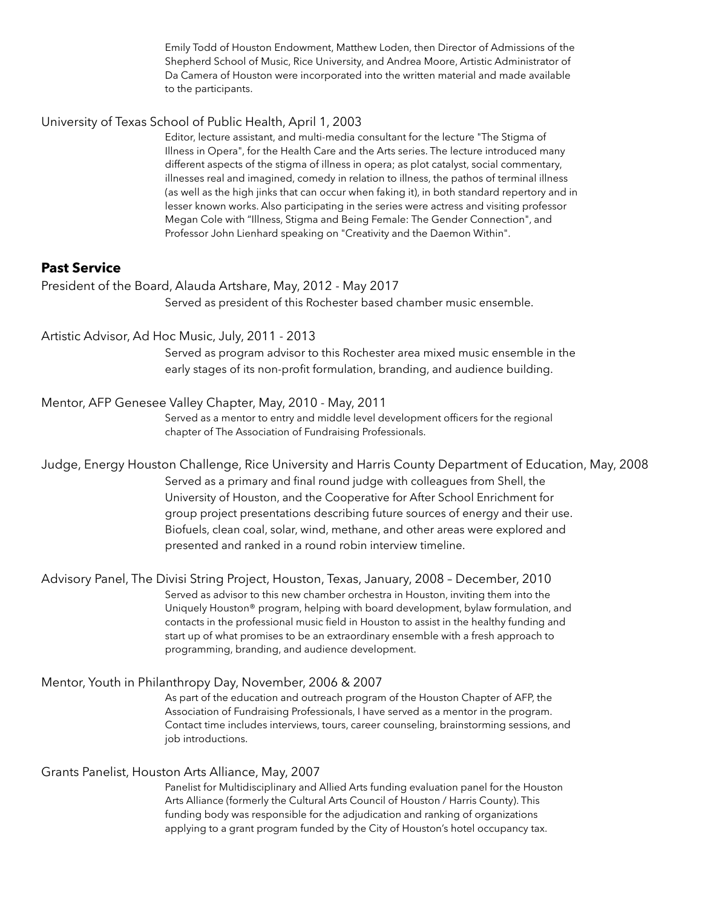Emily Todd of Houston Endowment, Matthew Loden, then Director of Admissions of the Shepherd School of Music, Rice University, and Andrea Moore, Artistic Administrator of Da Camera of Houston were incorporated into the written material and made available to the participants.

#### University of Texas School of Public Health, April 1, 2003

Editor, lecture assistant, and multi-media consultant for the lecture "The Stigma of Illness in Opera", for the Health Care and the Arts series. The lecture introduced many different aspects of the stigma of illness in opera; as plot catalyst, social commentary, illnesses real and imagined, comedy in relation to illness, the pathos of terminal illness (as well as the high jinks that can occur when faking it), in both standard repertory and in lesser known works. Also participating in the series were actress and visiting professor Megan Cole with "Illness, Stigma and Being Female: The Gender Connection", and Professor John Lienhard speaking on "Creativity and the Daemon Within".

### **Past Service**

President of the Board, Alauda Artshare, May, 2012 - May 2017 Served as president of this Rochester based chamber music ensemble.

### Artistic Advisor, Ad Hoc Music, July, 2011 - 2013

Served as program advisor to this Rochester area mixed music ensemble in the early stages of its non-profit formulation, branding, and audience building.

### Mentor, AFP Genesee Valley Chapter, May, 2010 - May, 2011

Served as a mentor to entry and middle level development officers for the regional chapter of The Association of Fundraising Professionals.

# Judge, Energy Houston Challenge, Rice University and Harris County Department of Education, May, 2008 Served as a primary and final round judge with colleagues from Shell, the University of Houston, and the Cooperative for After School Enrichment for group project presentations describing future sources of energy and their use. Biofuels, clean coal, solar, wind, methane, and other areas were explored and presented and ranked in a round robin interview timeline.

Advisory Panel, The Divisi String Project, Houston, Texas, January, 2008 – December, 2010 Served as advisor to this new chamber orchestra in Houston, inviting them into the Uniquely Houston® program, helping with board development, bylaw formulation, and contacts in the professional music field in Houston to assist in the healthy funding and start up of what promises to be an extraordinary ensemble with a fresh approach to programming, branding, and audience development.

### Mentor, Youth in Philanthropy Day, November, 2006 & 2007

As part of the education and outreach program of the Houston Chapter of AFP, the Association of Fundraising Professionals, I have served as a mentor in the program. Contact time includes interviews, tours, career counseling, brainstorming sessions, and job introductions.

# Grants Panelist, Houston Arts Alliance, May, 2007

Panelist for Multidisciplinary and Allied Arts funding evaluation panel for the Houston Arts Alliance (formerly the Cultural Arts Council of Houston / Harris County). This funding body was responsible for the adjudication and ranking of organizations applying to a grant program funded by the City of Houston's hotel occupancy tax.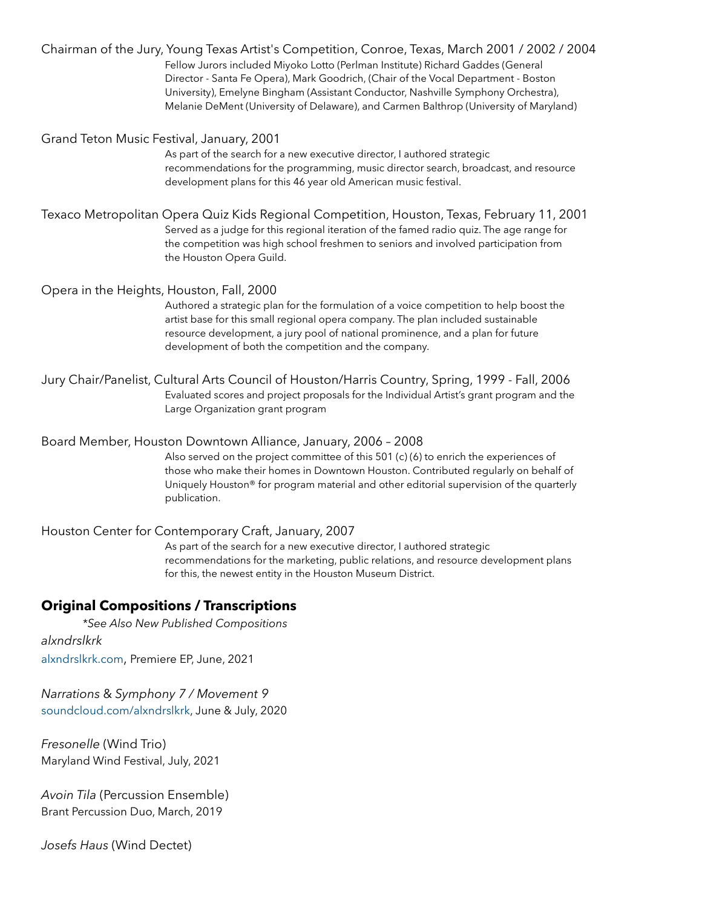|                                           | Chairman of the Jury, Young Texas Artist's Competition, Conroe, Texas, March 2001 / 2002 / 2004<br>Fellow Jurors included Miyoko Lotto (Perlman Institute) Richard Gaddes (General<br>Director - Santa Fe Opera), Mark Goodrich, (Chair of the Vocal Department - Boston<br>University), Emelyne Bingham (Assistant Conductor, Nashville Symphony Orchestra),<br>Melanie DeMent (University of Delaware), and Carmen Balthrop (University of Maryland) |
|-------------------------------------------|--------------------------------------------------------------------------------------------------------------------------------------------------------------------------------------------------------------------------------------------------------------------------------------------------------------------------------------------------------------------------------------------------------------------------------------------------------|
| Grand Teton Music Festival, January, 2001 | As part of the search for a new executive director, I authored strategic<br>recommendations for the programming, music director search, broadcast, and resource<br>development plans for this 46 year old American music festival.                                                                                                                                                                                                                     |
|                                           | Texaco Metropolitan Opera Quiz Kids Regional Competition, Houston, Texas, February 11, 2001<br>Served as a judge for this regional iteration of the famed radio quiz. The age range for<br>the competition was high school freshmen to seniors and involved participation from<br>the Houston Opera Guild.                                                                                                                                             |
| Opera in the Heights, Houston, Fall, 2000 | Authored a strategic plan for the formulation of a voice competition to help boost the<br>artist base for this small regional opera company. The plan included sustainable<br>resource development, a jury pool of national prominence, and a plan for future<br>development of both the competition and the company.                                                                                                                                  |
|                                           | Jury Chair/Panelist, Cultural Arts Council of Houston/Harris Country, Spring, 1999 - Fall, 2006<br>Evaluated scores and project proposals for the Individual Artist's grant program and the<br>Large Organization grant program                                                                                                                                                                                                                        |
|                                           | Board Member, Houston Downtown Alliance, January, 2006 - 2008<br>Also served on the project committee of this 501 (c) (6) to enrich the experiences of<br>those who make their homes in Downtown Houston. Contributed regularly on behalf of<br>Uniquely Houston® for program material and other editorial supervision of the quarterly<br>publication.                                                                                                |
|                                           | Houston Center for Contemporary Craft, January, 2007<br>As part of the search for a new executive director, I authored strategic<br>recommendations for the marketing, public relations, and resource development plans                                                                                                                                                                                                                                |

for this, the newest entity in the Houston Museum District.

# **Original Compositions / Transcriptions**

 *\*See Also New Published Compositions alxndrslkrk* [alxndrslkrk.com,](https://www.alxndrslkrk.com/) Premiere EP, June, 2021

*Narrations* & *Symphony 7 / Movement 9* [soundcloud.com/alxndrslkrk,](https://soundcloud.com/alxndrslkrk) June & July, 2020

*Fresonelle* (Wind Trio) Maryland Wind Festival, July, 2021

*Avoin Tila* (Percussion Ensemble) Brant Percussion Duo, March, 2019

*Josefs Haus* (Wind Dectet)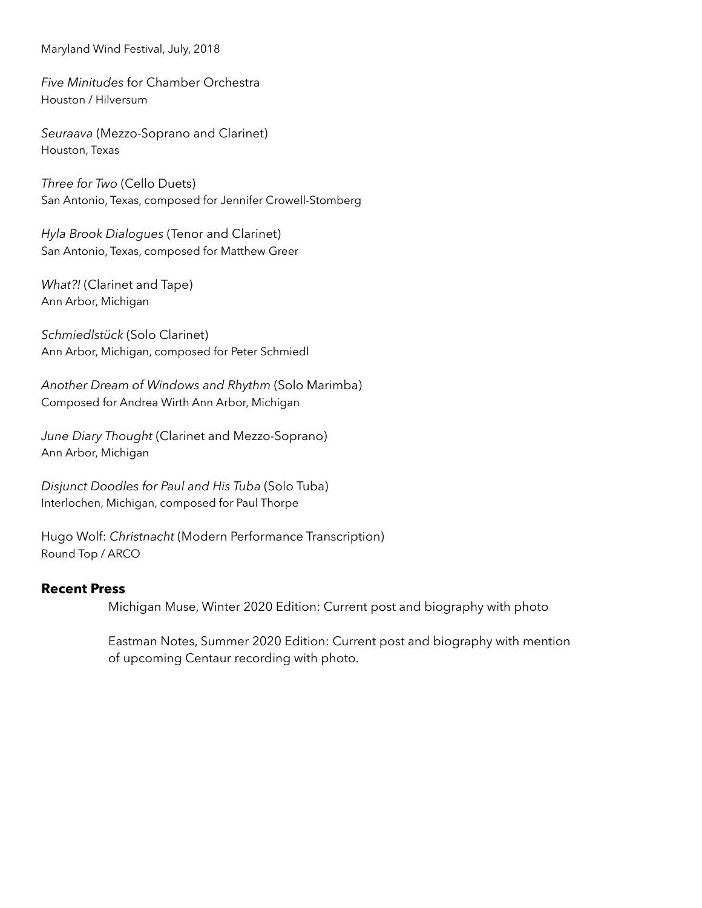Maryland Wind Festival, July, 2018

*Five Minitudes* for Chamber Orchestra Houston / Hilversum

*Seuraava* (Mezzo-Soprano and Clarinet) Houston, Texas

*Three for Two* (Cello Duets) San Antonio, Texas, composed for Jennifer Crowell-Stomberg

*Hyla Brook Dialogues* (Tenor and Clarinet) San Antonio, Texas, composed for Matthew Greer

*What?!* (Clarinet and Tape) Ann Arbor, Michigan

*Schmiedlstück* (Solo Clarinet) Ann Arbor, Michigan, composed for Peter Schmiedl

*Another Dream of Windows and Rhythm* (Solo Marimba) Composed for Andrea Wirth Ann Arbor, Michigan

*June Diary Thought* (Clarinet and Mezzo-Soprano) Ann Arbor, Michigan

*Disjunct Doodles for Paul and His Tuba* (Solo Tuba) Interlochen, Michigan, composed for Paul Thorpe

Hugo Wolf: *Christnacht* (Modern Performance Transcription) Round Top / ARCO

### **Recent Press**

Michigan Muse, Winter 2020 Edition: Current post and biography with photo

Eastman Notes, Summer 2020 Edition: Current post and biography with mention of upcoming Centaur recording with photo.